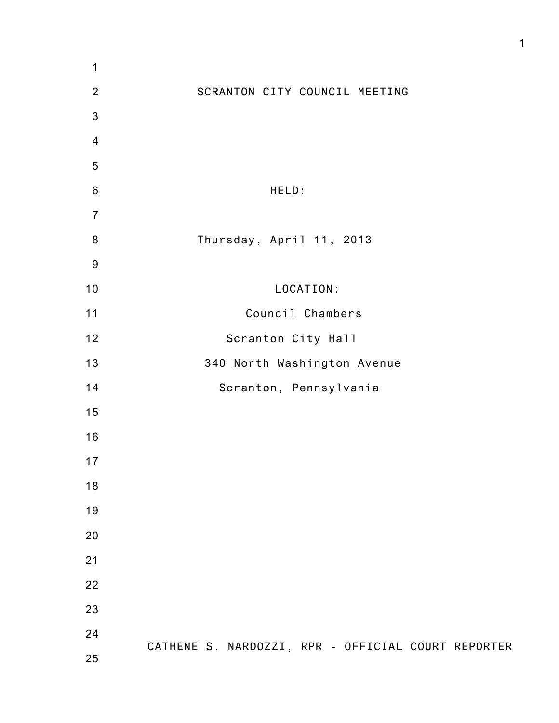| 1              |                                                    |
|----------------|----------------------------------------------------|
| $\overline{2}$ | SCRANTON CITY COUNCIL MEETING                      |
| $\sqrt{3}$     |                                                    |
| $\overline{4}$ |                                                    |
| $\overline{5}$ |                                                    |
| $\,6$          | HELD:                                              |
| $\overline{7}$ |                                                    |
| 8              | Thursday, April 11, 2013                           |
| 9              |                                                    |
| 10             | LOCATION:                                          |
| 11             | Council Chambers                                   |
| 12             | Scranton City Hall                                 |
| 13             | 340 North Washington Avenue                        |
| 14             | Scranton, Pennsylvania                             |
| 15             |                                                    |
| 16             |                                                    |
| 17             |                                                    |
| 18             |                                                    |
| 19             |                                                    |
| 20             |                                                    |
| 21             |                                                    |
| 22             |                                                    |
| 23             |                                                    |
| 24             | CATHENE S. NARDOZZI, RPR - OFFICIAL COURT REPORTER |
| 25             |                                                    |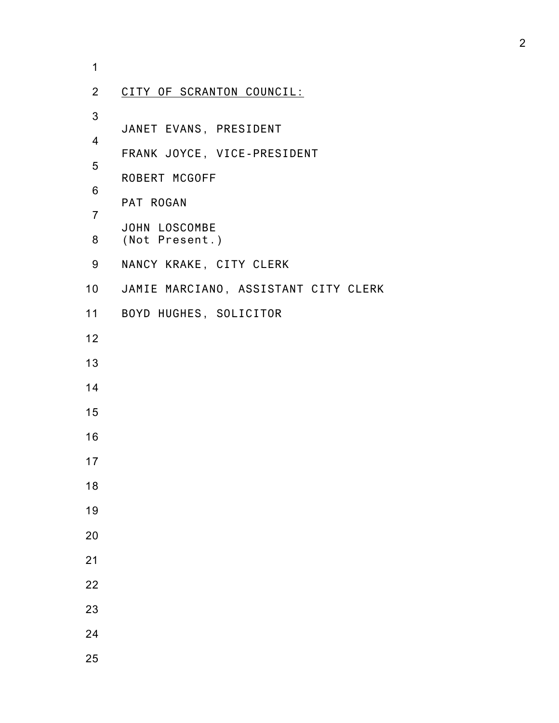| 1                        |                                                       |
|--------------------------|-------------------------------------------------------|
| $\overline{2}$           | CITY OF SCRANTON COUNCIL:                             |
| 3<br>$\overline{4}$      | JANET EVANS, PRESIDENT<br>FRANK JOYCE, VICE-PRESIDENT |
| 5<br>6<br>$\overline{7}$ | ROBERT MCGOFF<br>PAT ROGAN                            |
| 8                        | JOHN LOSCOMBE<br>(Not Present.)                       |
| 9                        | NANCY KRAKE, CITY CLERK                               |
|                          | 10 JAMIE MARCIANO, ASSISTANT CITY CLERK               |
|                          | 11 BOYD HUGHES, SOLICITOR                             |
| 12                       |                                                       |
| 13                       |                                                       |
| 14                       |                                                       |
| 15                       |                                                       |
| 16                       |                                                       |
| 17                       |                                                       |
| 18                       |                                                       |
| 19                       |                                                       |
| 20                       |                                                       |
| 21                       |                                                       |
| 22                       |                                                       |
| 23                       |                                                       |
| 24                       |                                                       |
| 25                       |                                                       |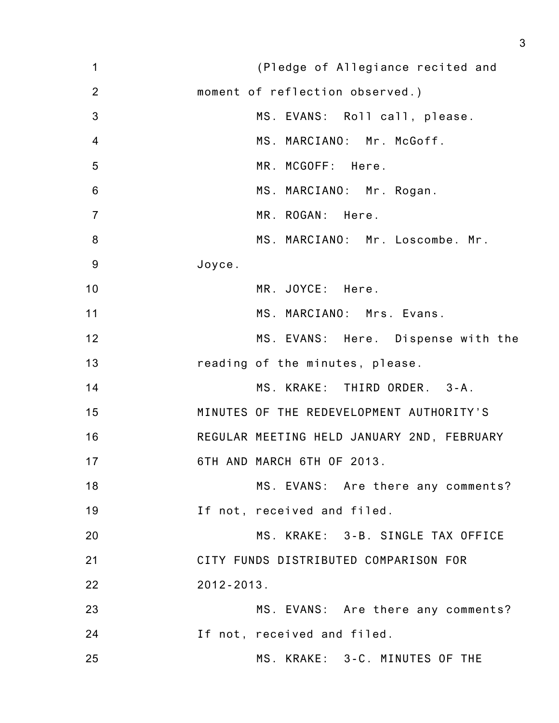| 1              | (Pledge of Allegiance recited and          |
|----------------|--------------------------------------------|
| $\overline{2}$ | moment of reflection observed.)            |
| $\mathbf{3}$   | MS. EVANS: Roll call, please.              |
| 4              | MS. MARCIANO: Mr. McGoff.                  |
| 5              | MR. MCGOFF: Here.                          |
| $6\,$          | MS. MARCIANO: Mr. Rogan.                   |
| $\overline{7}$ | MR. ROGAN: Here.                           |
| 8              | MS. MARCIANO: Mr. Loscombe. Mr.            |
| 9              | Joyce.                                     |
| 10             | MR. JOYCE: Here.                           |
| 11             | MS. MARCIANO: Mrs. Evans.                  |
| 12             | MS. EVANS: Here. Dispense with the         |
| 13             | reading of the minutes, please.            |
| 14             | MS. KRAKE: THIRD ORDER. 3-A.               |
| 15             | MINUTES OF THE REDEVELOPMENT AUTHORITY'S   |
| 16             | REGULAR MEETING HELD JANUARY 2ND, FEBRUARY |
| 17             | 6TH AND MARCH 6TH OF 2013.                 |
| 18             | MS. EVANS: Are there any comments?         |
| 19             | If not, received and filed.                |
| 20             | MS. KRAKE: 3-B. SINGLE TAX OFFICE          |
| 21             | CITY FUNDS DISTRIBUTED COMPARISON FOR      |
| 22             | $2012 - 2013$ .                            |
| 23             | MS. EVANS: Are there any comments?         |
| 24             | If not, received and filed.                |
| 25             | MS. KRAKE: 3-C. MINUTES OF THE             |
|                |                                            |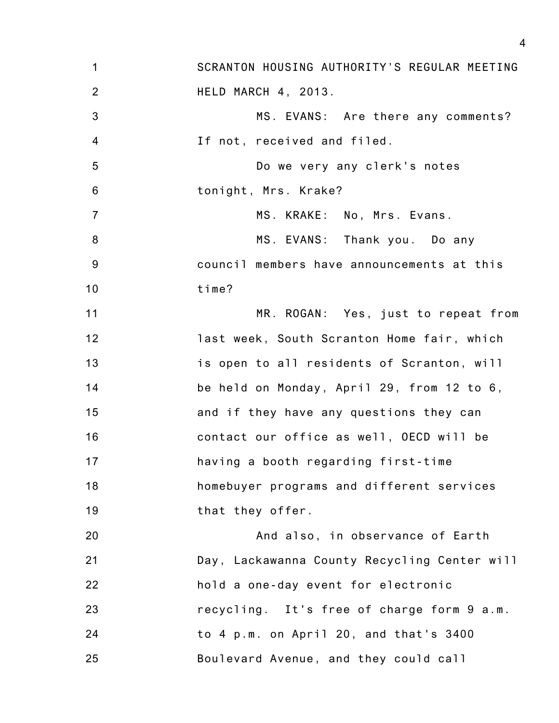| 1               | SCRANTON HOUSING AUTHORITY'S REGULAR MEETING |
|-----------------|----------------------------------------------|
| $\overline{2}$  | HELD MARCH 4, 2013.                          |
| 3               | MS. EVANS: Are there any comments?           |
| $\overline{4}$  | If not, received and filed.                  |
| 5               | Do we very any clerk's notes                 |
| $6\phantom{1}6$ | tonight, Mrs. Krake?                         |
| $\overline{7}$  | MS. KRAKE: No, Mrs. Evans.                   |
| 8               | MS. EVANS: Thank you. Do any                 |
| $9\,$           | council members have announcements at this   |
| 10              | time?                                        |
| 11              | MR. ROGAN: Yes, just to repeat from          |
| 12              | last week, South Scranton Home fair, which   |
| 13              | is open to all residents of Scranton, will   |
| 14              | be held on Monday, April 29, from 12 to 6,   |
| 15              | and if they have any questions they can      |
| 16              | contact our office as well, OECD will be     |
| 17              | having a booth regarding first-time          |
| 18              | homebuyer programs and different services    |
| 19              | that they offer.                             |
| 20              | And also, in observance of Earth             |
| 21              | Day, Lackawanna County Recycling Center will |
| 22              | hold a one-day event for electronic          |
| 23              | recycling. It's free of charge form 9 a.m.   |
| 24              | to 4 p.m. on April 20, and that's 3400       |
| 25              | Boulevard Avenue, and they could call        |
|                 |                                              |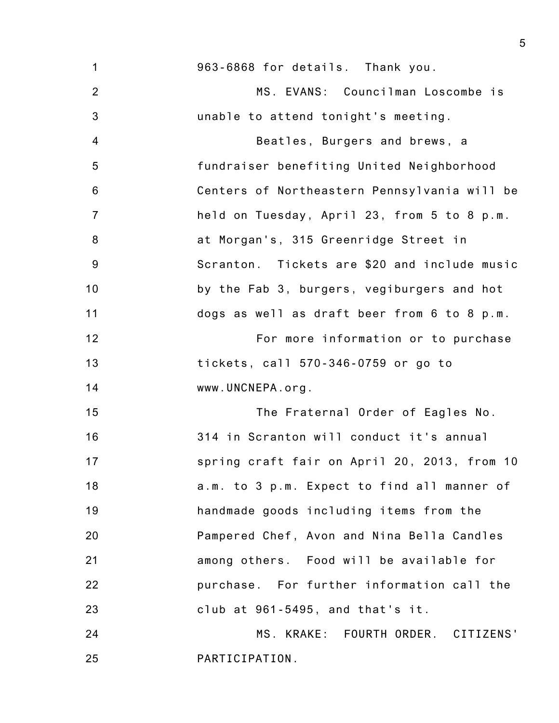| $\mathbf{1}$   | 963-6868 for details. Thank you.             |
|----------------|----------------------------------------------|
| $\overline{2}$ | MS. EVANS: Councilman Loscombe is            |
| $\mathfrak{B}$ | unable to attend tonight's meeting.          |
| $\overline{4}$ | Beatles, Burgers and brews, a                |
| $\overline{5}$ | fundraiser benefiting United Neighborhood    |
| $\,6$          | Centers of Northeastern Pennsylvania will be |
| $\overline{7}$ | held on Tuesday, April 23, from 5 to 8 p.m.  |
| $\bf 8$        | at Morgan's, 315 Greenridge Street in        |
| $9\,$          | Scranton. Tickets are \$20 and include music |
| 10             | by the Fab 3, burgers, vegiburgers and hot   |
| 11             | dogs as well as draft beer from 6 to 8 p.m.  |
| 12             | For more information or to purchase          |
| 13             | tickets, call 570-346-0759 or go to          |
| 14             | www.UNCNEPA.org.                             |
| 15             | The Fraternal Order of Eagles No.            |
| 16             | 314 in Scranton will conduct it's annual     |
| 17             | spring craft fair on April 20, 2013, from 10 |
| 18             | a.m. to 3 p.m. Expect to find all manner of  |
| 19             | handmade goods including items from the      |
| 20             | Pampered Chef, Avon and Nina Bella Candles   |
| 21             | among others. Food will be available for     |
| 22             | purchase. For further information call the   |
| 23             | club at 961-5495, and that's it.             |
| 24             | MS. KRAKE: FOURTH ORDER. CITIZENS'           |
| 25             | PARTICIPATION.                               |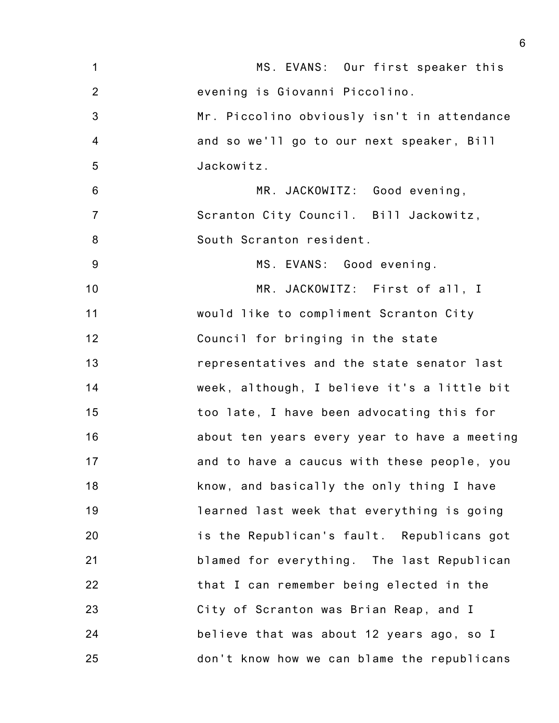| $\mathbf 1$    | MS. EVANS: Our first speaker this            |
|----------------|----------------------------------------------|
| $\overline{2}$ | evening is Giovanni Piccolino.               |
| 3              | Mr. Piccolino obviously isn't in attendance  |
| $\overline{4}$ | and so we'll go to our next speaker, Bill    |
| 5              | Jackowitz.                                   |
| 6              | MR. JACKOWITZ: Good evening,                 |
| $\overline{7}$ | Scranton City Council. Bill Jackowitz,       |
| 8              | South Scranton resident.                     |
| 9              | MS. EVANS: Good evening.                     |
| 10             | MR. JACKOWITZ: First of all, I               |
| 11             | would like to compliment Scranton City       |
| 12             | Council for bringing in the state            |
| 13             | representatives and the state senator last   |
| 14             | week, although, I believe it's a little bit  |
| 15             | too late, I have been advocating this for    |
| 16             | about ten years every year to have a meeting |
| 17             | and to have a caucus with these people, you  |
| 18             | know, and basically the only thing I have    |
| 19             | learned last week that everything is going   |
| 20             | is the Republican's fault. Republicans got   |
| 21             | blamed for everything. The last Republican   |
| 22             | that I can remember being elected in the     |
| 23             | City of Scranton was Brian Reap, and I       |
| 24             | believe that was about 12 years ago, so I    |
| 25             | don't know how we can blame the republicans  |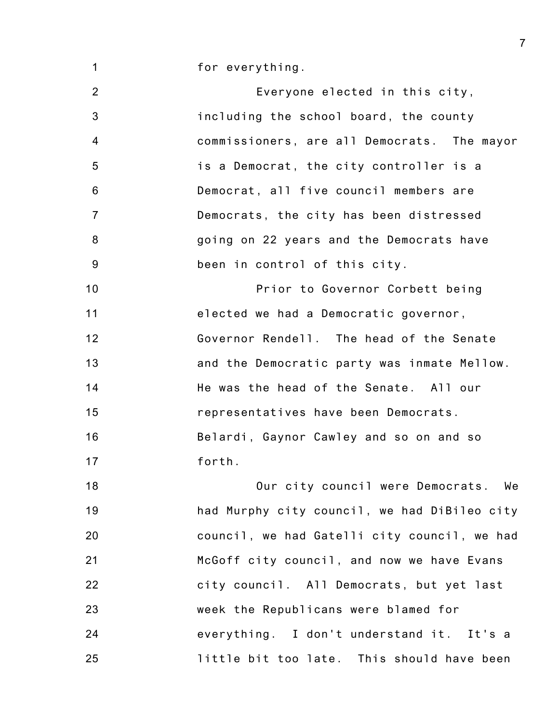for everything.

1

2 3 4 5 6 7 8 9 10 11 12 13 14 15 16 17 18 19 Everyone elected in this city, including the school board, the county commissioners, are all Democrats. The mayor is a Democrat, the city controller is a Democrat, all five council members are Democrats, the city has been distressed going on 22 years and the Democrats have been in control of this city. Prior to Governor Corbett being elected we had a Democratic governor, Governor Rendell. The head of the Senate and the Democratic party was inmate Mellow. He was the head of the Senate. All our representatives have been Democrats. Belardi, Gaynor Cawley and so on and so forth. Our city council were Democrats. We had Murphy city council, we had DiBileo city

20 21 22 23 24 25 council, we had Gatelli city council, we had McGoff city council, and now we have Evans city council. All Democrats, but yet last week the Republicans were blamed for everything. I don't understand it. It's a little bit too late. This should have been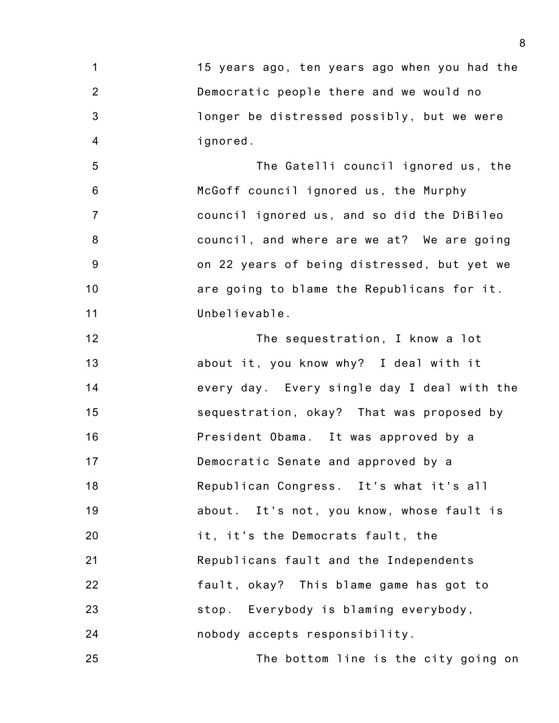1 2 3 4 15 years ago, ten years ago when you had the Democratic people there and we would no longer be distressed possibly, but we were ignored.

5 6 7 8 9 10 11 The Gatelli council ignored us, the McGoff council ignored us, the Murphy council ignored us, and so did the DiBileo council, and where are we at? We are going on 22 years of being distressed, but yet we are going to blame the Republicans for it. Unbelievable.

12 13 14 15 16 17 18 19 20 21 22 23 24 The sequestration, I know a lot about it, you know why? I deal with it every day. Every single day I deal with the sequestration, okay? That was proposed by President Obama. It was approved by a Democratic Senate and approved by a Republican Congress. It's what it's all about. It's not, you know, whose fault is it, it's the Democrats fault, the Republicans fault and the Independents fault, okay? This blame game has got to stop. Everybody is blaming everybody, nobody accepts responsibility.

The bottom line is the city going on

25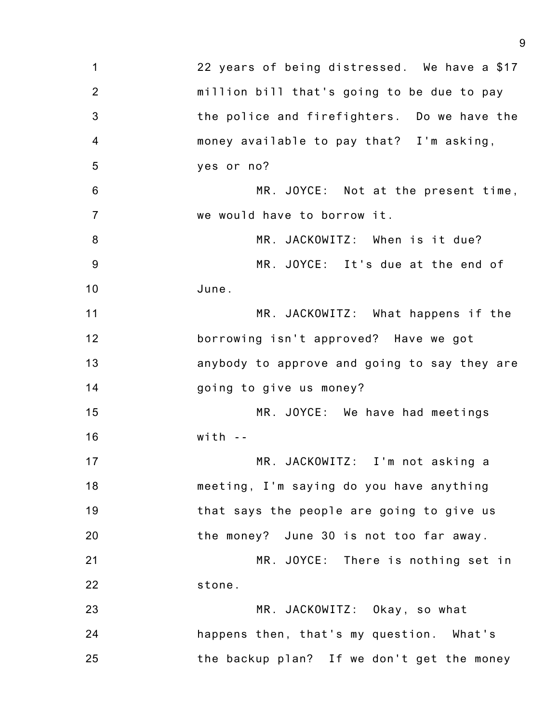| 1                | 22 years of being distressed. We have a \$17 |
|------------------|----------------------------------------------|
| $\overline{2}$   | million bill that's going to be due to pay   |
| 3                | the police and firefighters. Do we have the  |
| $\overline{4}$   | money available to pay that? I'm asking,     |
| 5                | yes or no?                                   |
| 6                | MR. JOYCE: Not at the present time,          |
| $\overline{7}$   | we would have to borrow it.                  |
| $\boldsymbol{8}$ | MR. JACKOWITZ: When is it due?               |
| 9                | MR. JOYCE: It's due at the end of            |
| 10               | June.                                        |
| 11               | MR. JACKOWITZ: What happens if the           |
| 12               | borrowing isn't approved? Have we got        |
| 13               | anybody to approve and going to say they are |
| 14               | going to give us money?                      |
| 15               | MR. JOYCE: We have had meetings              |
| 16               | $with -$                                     |
| 17               | MR. JACKOWITZ: I'm not asking a              |
| 18               | meeting, I'm saying do you have anything     |
| 19               | that says the people are going to give us    |
| 20               | the money? June 30 is not too far away.      |
| 21               | MR. JOYCE: There is nothing set in           |
| 22               | stone.                                       |
| 23               | MR. JACKOWITZ: Okay, so what                 |
| 24               | happens then, that's my question. What's     |
| 25               | the backup plan? If we don't get the money   |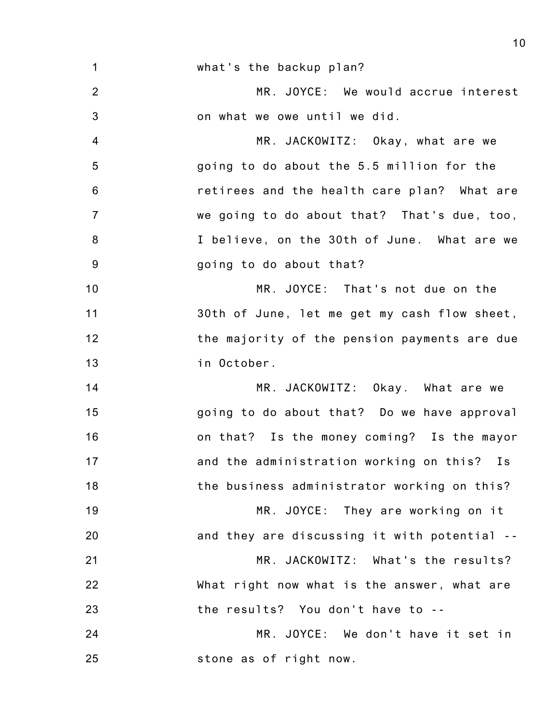1 2 3 4 5 6 7 8 9 10 11 12 13 14 15 16 17 18 19 20 21 22 23 24 25 what's the backup plan? MR. JOYCE: We would accrue interest on what we owe until we did. MR. JACKOWITZ: Okay, what are we going to do about the 5.5 million for the retirees and the health care plan? What are we going to do about that? That's due, too, I believe, on the 30th of June. What are we going to do about that? MR. JOYCE: That's not due on the 30th of June, let me get my cash flow sheet, the majority of the pension payments are due in October. MR. JACKOWITZ: Okay. What are we going to do about that? Do we have approval on that? Is the money coming? Is the mayor and the administration working on this? Is the business administrator working on this? MR. JOYCE: They are working on it and they are discussing it with potential -- MR. JACKOWITZ: What's the results? What right now what is the answer, what are the results? You don't have to -- MR. JOYCE: We don't have it set in stone as of right now.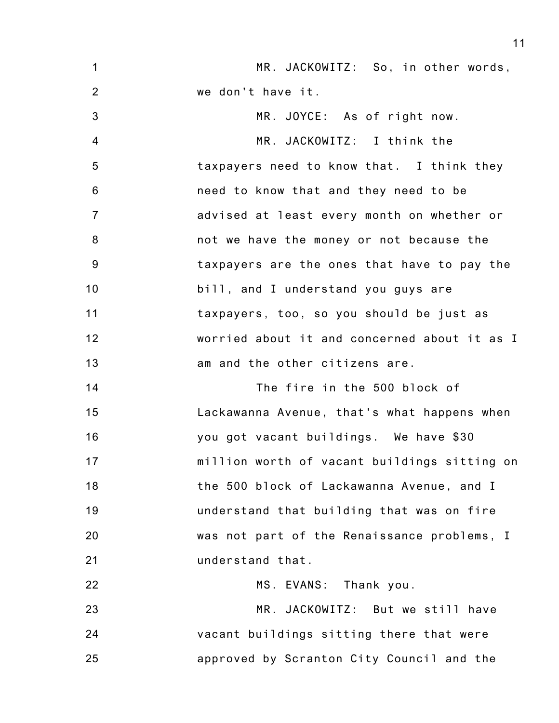| $\mathbf 1$     | MR. JACKOWITZ: So, in other words,           |
|-----------------|----------------------------------------------|
| $\overline{2}$  | we don't have it.                            |
| 3               | MR. JOYCE: As of right now.                  |
| $\overline{4}$  | MR. JACKOWITZ: I think the                   |
| 5               | taxpayers need to know that. I think they    |
| $6\phantom{1}6$ | need to know that and they need to be        |
| $\overline{7}$  | advised at least every month on whether or   |
| 8               | not we have the money or not because the     |
| 9               | taxpayers are the ones that have to pay the  |
| 10              | bill, and I understand you guys are          |
| 11              | taxpayers, too, so you should be just as     |
| 12              | worried about it and concerned about it as I |
| 13              | am and the other citizens are.               |
| 14              | The fire in the 500 block of                 |
| 15              | Lackawanna Avenue, that's what happens when  |
| 16              | you got vacant buildings. We have \$30       |
| 17              | million worth of vacant buildings sitting on |
| 18              | the 500 block of Lackawanna Avenue, and I    |
| 19              | understand that building that was on fire    |
| 20              | was not part of the Renaissance problems, I  |
| 21              | understand that.                             |
| 22              | MS. EVANS: Thank you.                        |
| 23              | MR. JACKOWITZ: But we still have             |
| 24              | vacant buildings sitting there that were     |
| 25              | approved by Scranton City Council and the    |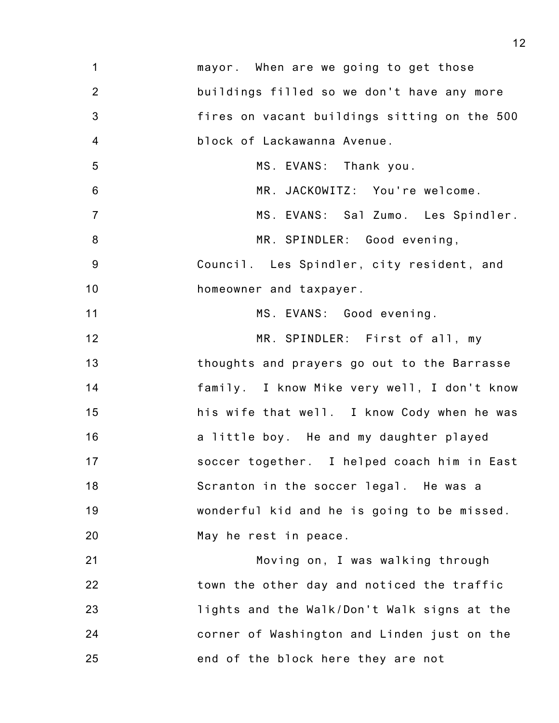| $\mathbf{1}$   | mayor. When are we going to get those        |
|----------------|----------------------------------------------|
| $\overline{2}$ | buildings filled so we don't have any more   |
| 3              | fires on vacant buildings sitting on the 500 |
| $\overline{4}$ | block of Lackawanna Avenue.                  |
| 5              | MS. EVANS: Thank you.                        |
| $\,6$          | MR. JACKOWITZ: You're welcome.               |
| $\overline{7}$ | MS. EVANS: Sal Zumo. Les Spindler.           |
| $\bf 8$        | MR. SPINDLER: Good evening,                  |
| $9\,$          | Council. Les Spindler, city resident, and    |
| 10             | homeowner and taxpayer.                      |
| 11             | MS. EVANS: Good evening.                     |
| 12             | MR. SPINDLER: First of all, my               |
| 13             | thoughts and prayers go out to the Barrasse  |
| 14             | family. I know Mike very well, I don't know  |
| 15             | his wife that well. I know Cody when he was  |
| 16             | a little boy. He and my daughter played      |
| 17             | soccer together. I helped coach him in East  |
| 18             | Scranton in the soccer legal. He was a       |
| 19             | wonderful kid and he is going to be missed.  |
| 20             | May he rest in peace.                        |
| 21             | Moving on, I was walking through             |
| 22             | town the other day and noticed the traffic   |
| 23             | lights and the Walk/Don't Walk signs at the  |
| 24             | corner of Washington and Linden just on the  |
| 25             | end of the block here they are not           |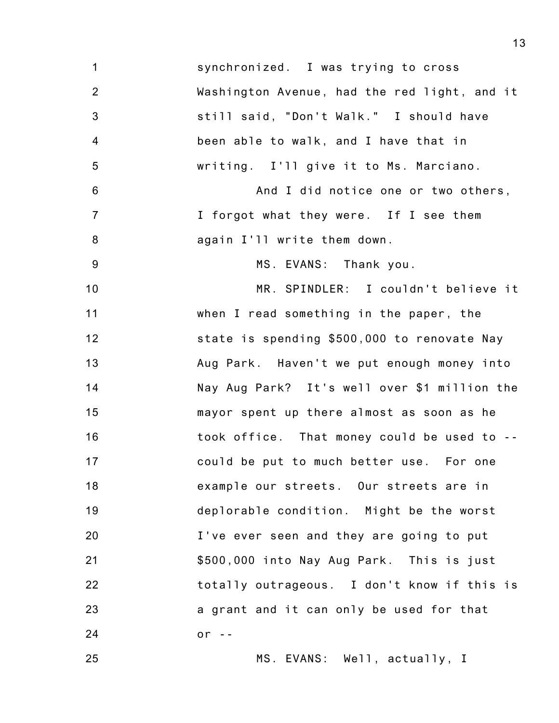1 2 3 4 5 6 7 8 9 10 11 12 13 14 15 16 17 18 19 20 21 22 23 24 25 synchronized. I was trying to cross Washington Avenue, had the red light, and it still said, "Don't Walk." I should have been able to walk, and I have that in writing. I'll give it to Ms. Marciano. And I did notice one or two others, I forgot what they were. If I see them again I'll write them down. MS. EVANS: Thank you. MR. SPINDLER: I couldn't believe it when I read something in the paper, the state is spending \$500,000 to renovate Nay Aug Park. Haven't we put enough money into Nay Aug Park? It's well over \$1 million the mayor spent up there almost as soon as he took office. That money could be used to - could be put to much better use. For one example our streets. Our streets are in deplorable condition. Might be the worst I've ever seen and they are going to put \$500,000 into Nay Aug Park. This is just totally outrageous. I don't know if this is a grant and it can only be used for that or  $-$ MS. EVANS: Well, actually, I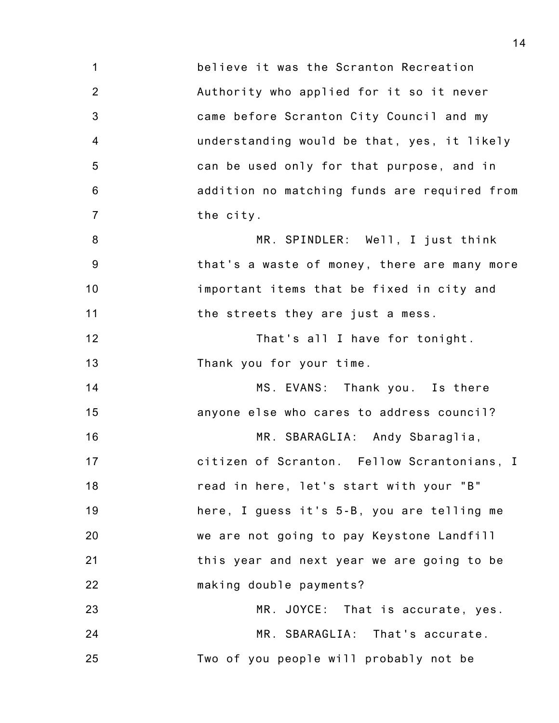1 2 3 4 5 6 7 8 9 10 11 12 13 14 15 16 17 18 19 20 21 22 23 24 25 believe it was the Scranton Recreation Authority who applied for it so it never came before Scranton City Council and my understanding would be that, yes, it likely can be used only for that purpose, and in addition no matching funds are required from the city. MR. SPINDLER: Well, I just think that's a waste of money, there are many more important items that be fixed in city and the streets they are just a mess. That's all I have for tonight. Thank you for your time. MS. EVANS: Thank you. Is there anyone else who cares to address council? MR. SBARAGLIA: Andy Sbaraglia, citizen of Scranton. Fellow Scrantonians, I read in here, let's start with your "B" here, I guess it's 5-B, you are telling me we are not going to pay Keystone Landfill this year and next year we are going to be making double payments? MR. JOYCE: That is accurate, yes. MR. SBARAGLIA: That's accurate. Two of you people will probably not be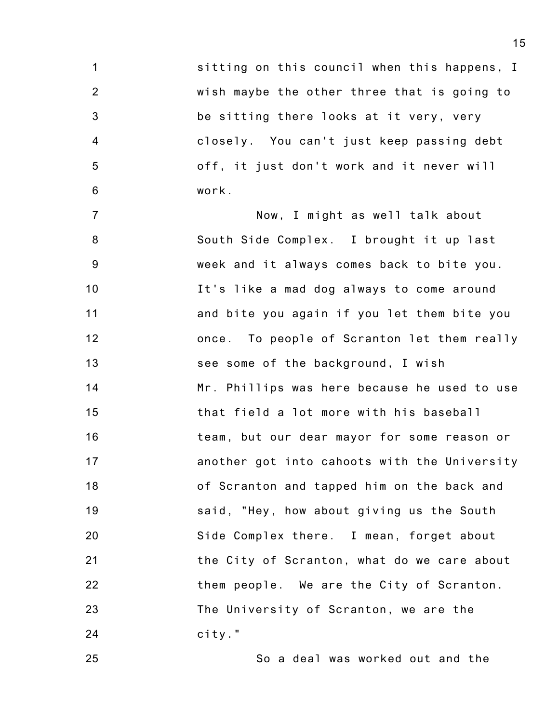1 2 3 4 5 6 sitting on this council when this happens, I wish maybe the other three that is going to be sitting there looks at it very, very closely. You can't just keep passing debt off, it just don't work and it never will work.

7 8 9 10 11 12 13 14 15 16 17 18 19 20 21 22 23 24 Now, I might as well talk about South Side Complex. I brought it up last week and it always comes back to bite you. It's like a mad dog always to come around and bite you again if you let them bite you once. To people of Scranton let them really see some of the background, I wish Mr. Phillips was here because he used to use that field a lot more with his baseball team, but our dear mayor for some reason or another got into cahoots with the University of Scranton and tapped him on the back and said, "Hey, how about giving us the South Side Complex there. I mean, forget about the City of Scranton, what do we care about them people. We are the City of Scranton. The University of Scranton, we are the city."

So a deal was worked out and the

25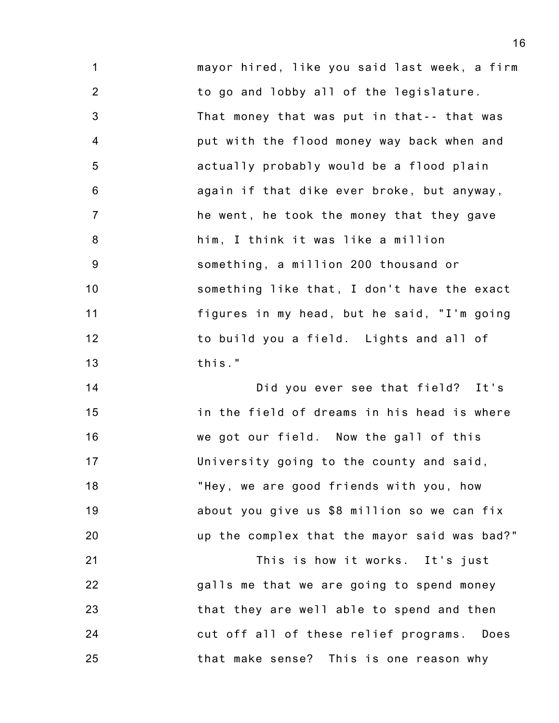1 2 3 4 5 6 7 8 9 10 11 12 13 mayor hired, like you said last week, a firm to go and lobby all of the legislature. That money that was put in that-- that was put with the flood money way back when and actually probably would be a flood plain again if that dike ever broke, but anyway, he went, he took the money that they gave him, I think it was like a million something, a million 200 thousand or something like that, I don't have the exact figures in my head, but he said, "I'm going to build you a field. Lights and all of this."

14 15 16 17 18 19 20 Did you ever see that field? It's in the field of dreams in his head is where we got our field. Now the gall of this University going to the county and said, "Hey, we are good friends with you, how about you give us \$8 million so we can fix up the complex that the mayor said was bad?"

21 22 23 24 25 This is how it works. It's just galls me that we are going to spend money that they are well able to spend and then cut off all of these relief programs. Does that make sense? This is one reason why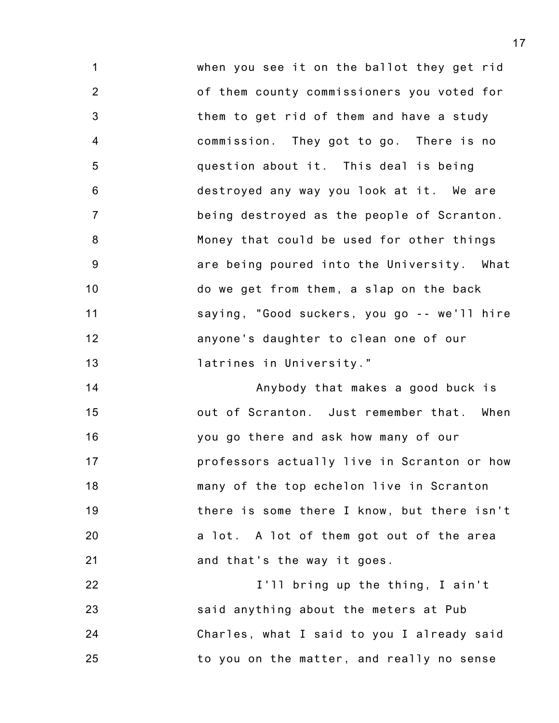1 2 3 4 5 6 7 8 9 10 11 12 13 when you see it on the ballot they get rid of them county commissioners you voted for them to get rid of them and have a study commission. They got to go. There is no question about it. This deal is being destroyed any way you look at it. We are being destroyed as the people of Scranton. Money that could be used for other things are being poured into the University. What do we get from them, a slap on the back saying, "Good suckers, you go -- we'll hire anyone's daughter to clean one of our latrines in University."

14 15 16 17 18 19 20 21 Anybody that makes a good buck is out of Scranton. Just remember that. When you go there and ask how many of our professors actually live in Scranton or how many of the top echelon live in Scranton there is some there I know, but there isn't a lot. A lot of them got out of the area and that's the way it goes.

22 23 24 25 I'll bring up the thing, I ain't said anything about the meters at Pub Charles, what I said to you I already said to you on the matter, and really no sense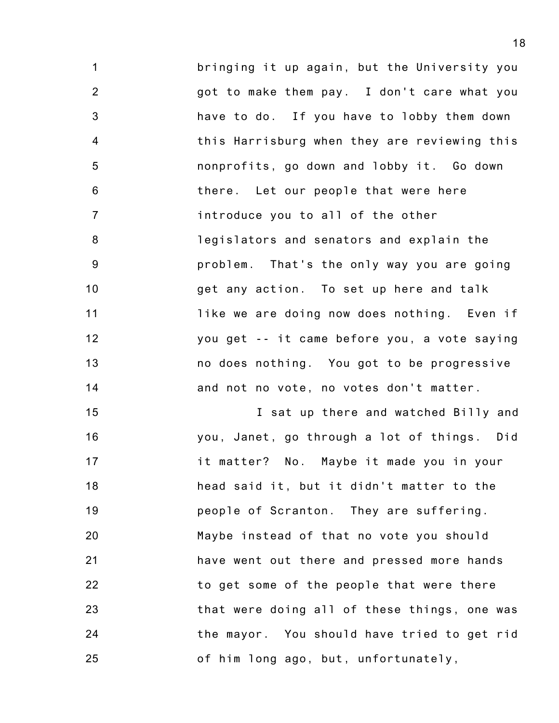1 2 3 4 5 6 7 8 9 10 11 12 13 14 bringing it up again, but the University you got to make them pay. I don't care what you have to do. If you have to lobby them down this Harrisburg when they are reviewing this nonprofits, go down and lobby it. Go down there. Let our people that were here introduce you to all of the other legislators and senators and explain the problem. That's the only way you are going get any action. To set up here and talk like we are doing now does nothing. Even if you get -- it came before you, a vote saying no does nothing. You got to be progressive and not no vote, no votes don't matter.

15 16 17 18 19 20 21 22 23 24 25 I sat up there and watched Billy and you, Janet, go through a lot of things. Did it matter? No. Maybe it made you in your head said it, but it didn't matter to the people of Scranton. They are suffering. Maybe instead of that no vote you should have went out there and pressed more hands to get some of the people that were there that were doing all of these things, one was the mayor. You should have tried to get rid of him long ago, but, unfortunately,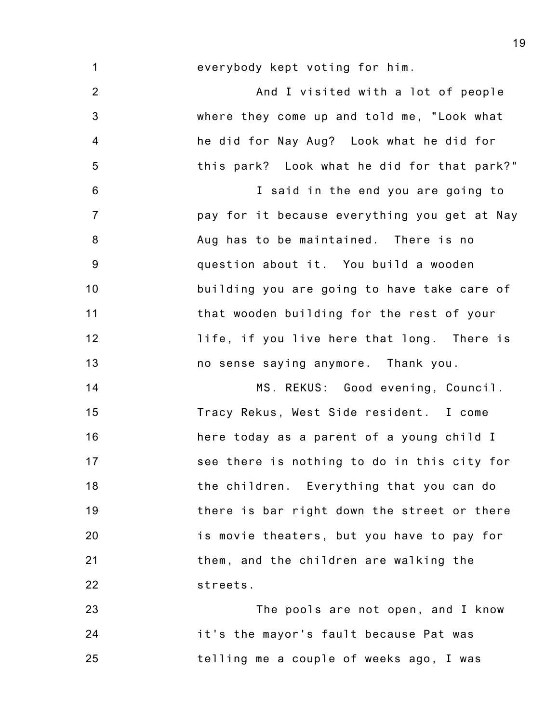1 everybody kept voting for him.

2 3 4 5 And I visited with a lot of people where they come up and told me, "Look what he did for Nay Aug? Look what he did for this park? Look what he did for that park?"

6 7 8 9 10 11 12 13 I said in the end you are going to pay for it because everything you get at Nay Aug has to be maintained. There is no question about it. You build a wooden building you are going to have take care of that wooden building for the rest of your life, if you live here that long. There is no sense saying anymore. Thank you.

14 15 16 17 18 19 20 21 22 MS. REKUS: Good evening, Council. Tracy Rekus, West Side resident. I come here today as a parent of a young child I see there is nothing to do in this city for the children. Everything that you can do there is bar right down the street or there is movie theaters, but you have to pay for them, and the children are walking the streets.

23 24 25 The pools are not open, and I know it's the mayor's fault because Pat was telling me a couple of weeks ago, I was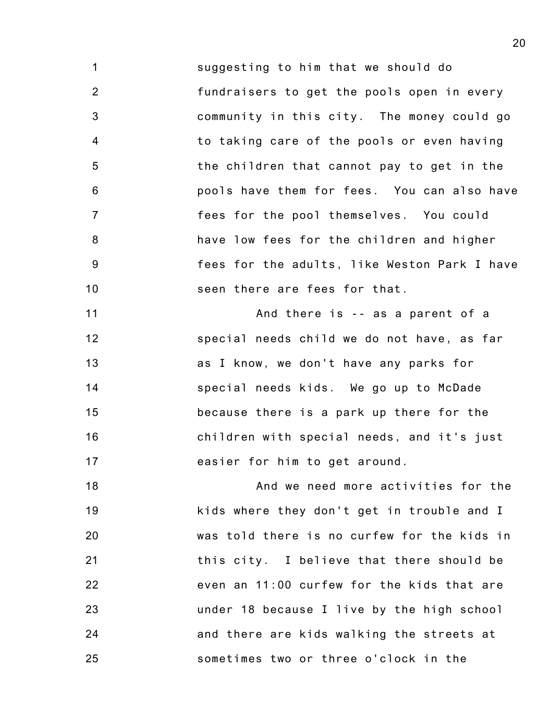1 2 3 4 5 6 7 8 9 10 suggesting to him that we should do fundraisers to get the pools open in every community in this city. The money could go to taking care of the pools or even having the children that cannot pay to get in the pools have them for fees. You can also have fees for the pool themselves. You could have low fees for the children and higher fees for the adults, like Weston Park I have seen there are fees for that.

11 12 13 14 15 16 17 And there is -- as a parent of a special needs child we do not have, as far as I know, we don't have any parks for special needs kids. We go up to McDade because there is a park up there for the children with special needs, and it's just easier for him to get around.

18 19 20 21 22 23 24 25 And we need more activities for the kids where they don't get in trouble and I was told there is no curfew for the kids in this city. I believe that there should be even an 11:00 curfew for the kids that are under 18 because I live by the high school and there are kids walking the streets at sometimes two or three o'clock in the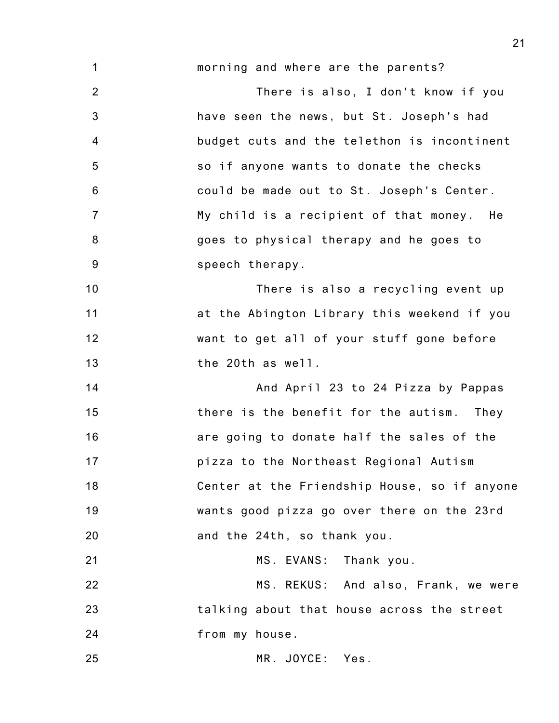1 2 3 4 5 6 7 8 9 10 11 12 13 14 15 16 17 18 19 20 21 22 23 morning and where are the parents? There is also, I don't know if you have seen the news, but St. Joseph's had budget cuts and the telethon is incontinent so if anyone wants to donate the checks could be made out to St. Joseph's Center. My child is a recipient of that money. He goes to physical therapy and he goes to speech therapy. There is also a recycling event up at the Abington Library this weekend if you want to get all of your stuff gone before the 20th as well. And April 23 to 24 Pizza by Pappas there is the benefit for the autism. They are going to donate half the sales of the pizza to the Northeast Regional Autism Center at the Friendship House, so if anyone wants good pizza go over there on the 23rd and the 24th, so thank you. MS. EVANS: Thank you. MS. REKUS: And also, Frank, we were talking about that house across the street

24

25

MR. JOYCE: Yes.

from my house.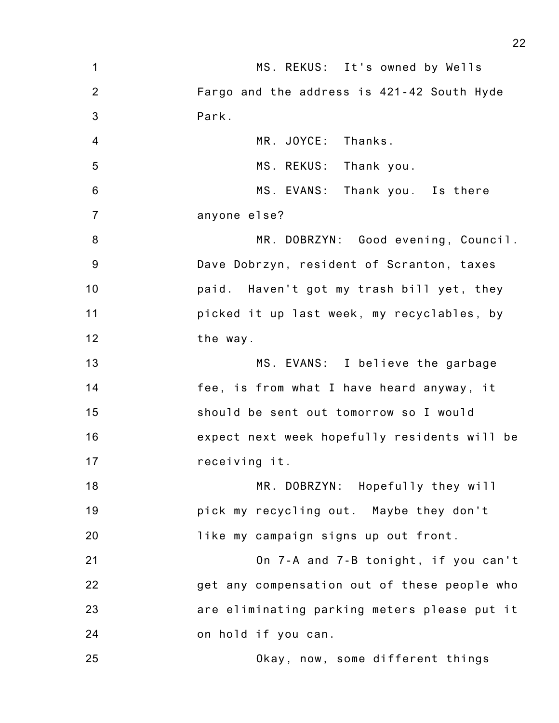| 1                | MS. REKUS: It's owned by Wells               |
|------------------|----------------------------------------------|
| 2                | Fargo and the address is 421-42 South Hyde   |
| $\mathbf{3}$     | Park.                                        |
| $\overline{4}$   | MR. JOYCE: Thanks.                           |
| 5                | MS. REKUS: Thank you.                        |
| $\,6$            | MS. EVANS: Thank you. Is there               |
| $\overline{7}$   | anyone else?                                 |
| $\boldsymbol{8}$ | MR. DOBRZYN: Good evening, Council.          |
| 9                | Dave Dobrzyn, resident of Scranton, taxes    |
| 10               | paid. Haven't got my trash bill yet, they    |
| 11               | picked it up last week, my recyclables, by   |
| 12               | the way.                                     |
| 13               | MS. EVANS: I believe the garbage             |
| 14               | fee, is from what I have heard anyway, it    |
| 15               | should be sent out tomorrow so I would       |
| 16               | expect next week hopefully residents will be |
| 17               | receiving it.                                |
| 18               | MR. DOBRZYN: Hopefully they will             |
| 19               | pick my recycling out. Maybe they don't      |
| 20               | like my campaign signs up out front.         |
| 21               | On 7-A and 7-B tonight, if you can't         |
| 22               | get any compensation out of these people who |
| 23               | are eliminating parking meters please put it |
| 24               | on hold if you can.                          |
| 25               | Okay, now, some different things             |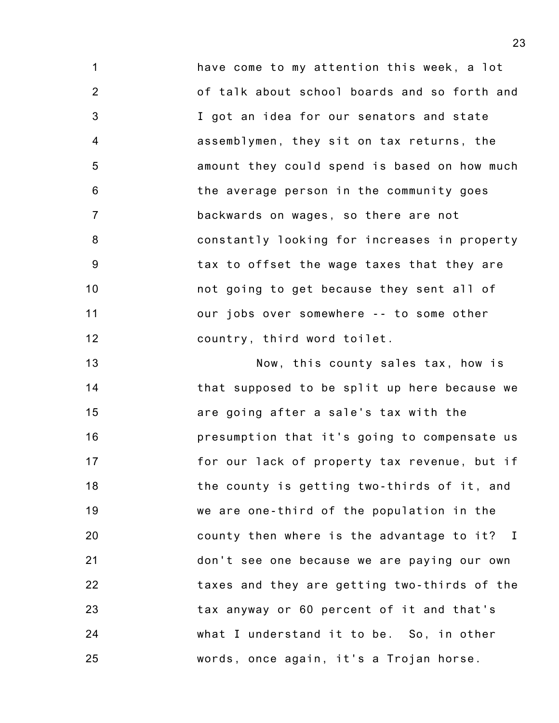1 2 3 4 5 6 7 8 9 10 11 12 have come to my attention this week, a lot of talk about school boards and so forth and I got an idea for our senators and state assemblymen, they sit on tax returns, the amount they could spend is based on how much the average person in the community goes backwards on wages, so there are not constantly looking for increases in property tax to offset the wage taxes that they are not going to get because they sent all of our jobs over somewhere -- to some other country, third word toilet.

13 14 15 16 17 18 19 20 21 22 23 24 25 Now, this county sales tax, how is that supposed to be split up here because we are going after a sale's tax with the presumption that it's going to compensate us for our lack of property tax revenue, but if the county is getting two-thirds of it, and we are one-third of the population in the county then where is the advantage to it? I don't see one because we are paying our own taxes and they are getting two-thirds of the tax anyway or 60 percent of it and that's what I understand it to be. So, in other words, once again, it's a Trojan horse.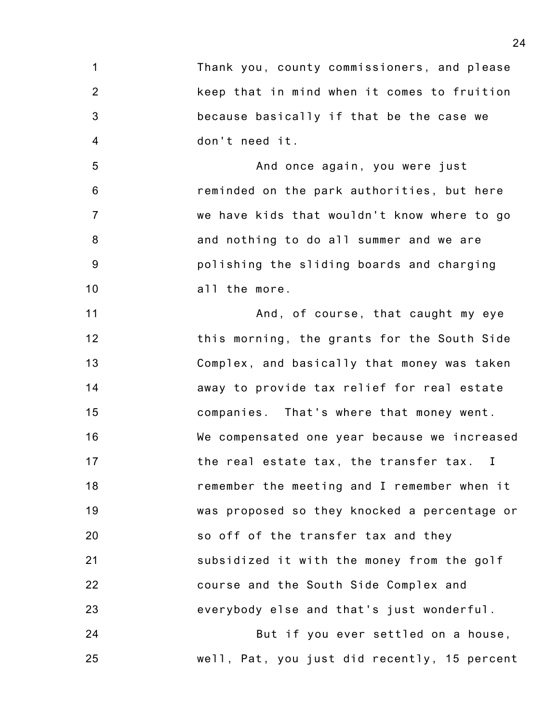1 2 3 4 Thank you, county commissioners, and please keep that in mind when it comes to fruition because basically if that be the case we don't need it.

5 6 7 8 9 10 And once again, you were just reminded on the park authorities, but here we have kids that wouldn't know where to go and nothing to do all summer and we are polishing the sliding boards and charging all the more.

11 12 13 14 15 16 17 18 19 20 21 22 23 And, of course, that caught my eye this morning, the grants for the South Side Complex, and basically that money was taken away to provide tax relief for real estate companies. That's where that money went. We compensated one year because we increased the real estate tax, the transfer tax. I remember the meeting and I remember when it was proposed so they knocked a percentage or so off of the transfer tax and they subsidized it with the money from the golf course and the South Side Complex and everybody else and that's just wonderful.

24 25 But if you ever settled on a house, well, Pat, you just did recently, 15 percent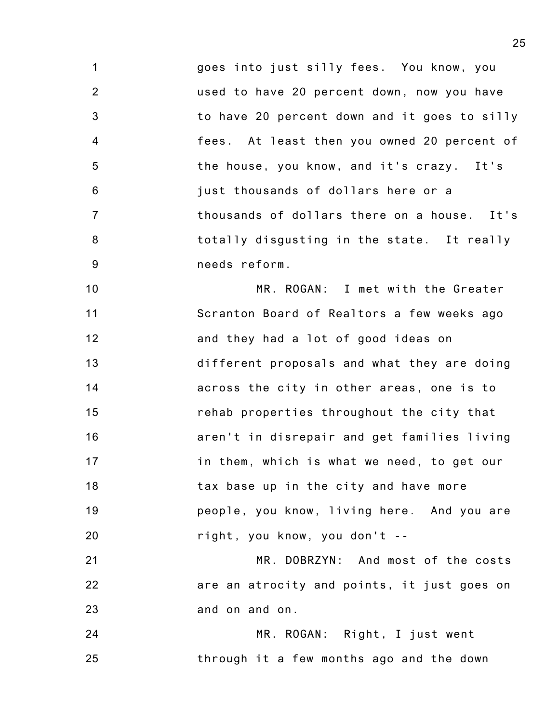1 2 3 4 5 6 7 8 9 goes into just silly fees. You know, you used to have 20 percent down, now you have to have 20 percent down and it goes to silly fees. At least then you owned 20 percent of the house, you know, and it's crazy. It's just thousands of dollars here or a thousands of dollars there on a house. It's totally disgusting in the state. It really needs reform.

10 11 12 13 14 15 16 17 18 19 20 MR. ROGAN: I met with the Greater Scranton Board of Realtors a few weeks ago and they had a lot of good ideas on different proposals and what they are doing across the city in other areas, one is to rehab properties throughout the city that aren't in disrepair and get families living in them, which is what we need, to get our tax base up in the city and have more people, you know, living here. And you are right, you know, you don't --

21 22 23 MR. DOBRZYN: And most of the costs are an atrocity and points, it just goes on and on and on.

24 25 MR. ROGAN: Right, I just went through it a few months ago and the down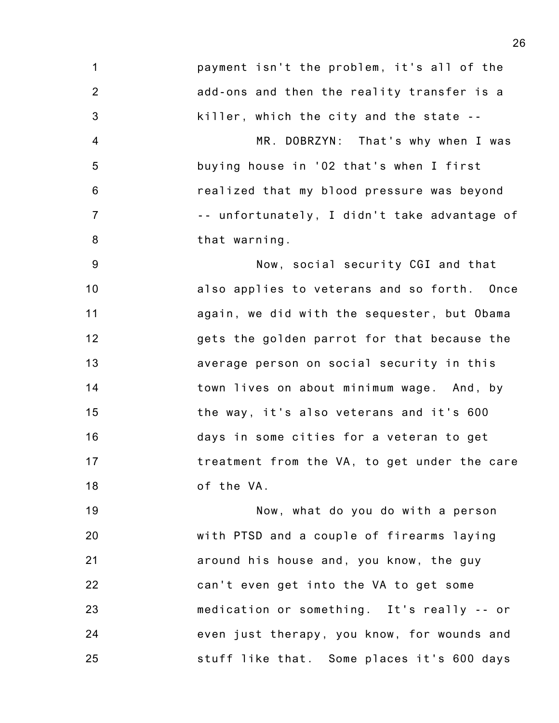1 2 3 payment isn't the problem, it's all of the add-ons and then the reality transfer is a killer, which the city and the state --

4 5 6 7 8 MR. DOBRZYN: That's why when I was buying house in '02 that's when I first realized that my blood pressure was beyond -- unfortunately, I didn't take advantage of that warning.

9 10 11 12 13 14 15 16 17 18 Now, social security CGI and that also applies to veterans and so forth. Once again, we did with the sequester, but Obama gets the golden parrot for that because the average person on social security in this town lives on about minimum wage. And, by the way, it's also veterans and it's 600 days in some cities for a veteran to get treatment from the VA, to get under the care of the VA.

19 20 21 22 23 24 25 Now, what do you do with a person with PTSD and a couple of firearms laying around his house and, you know, the guy can't even get into the VA to get some medication or something. It's really -- or even just therapy, you know, for wounds and stuff like that. Some places it's 600 days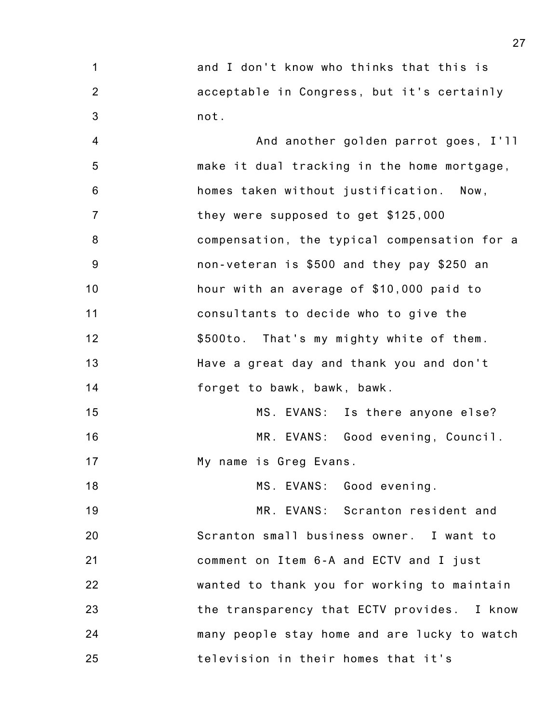1 2 3 and I don't know who thinks that this is acceptable in Congress, but it's certainly not.

4 5 6 7 8 9 10 11 12 13 14 And another golden parrot goes, I'll make it dual tracking in the home mortgage, homes taken without justification. Now, they were supposed to get \$125,000 compensation, the typical compensation for a non-veteran is \$500 and they pay \$250 an hour with an average of \$10,000 paid to consultants to decide who to give the \$500to. That's my mighty white of them. Have a great day and thank you and don't forget to bawk, bawk, bawk.

15 16 17 MS. EVANS: Is there anyone else? MR. EVANS: Good evening, Council. My name is Greg Evans.

18 MS. EVANS: Good evening.

19 20 21 22 23 24 25 MR. EVANS: Scranton resident and Scranton small business owner. I want to comment on Item 6-A and ECTV and I just wanted to thank you for working to maintain the transparency that ECTV provides. I know many people stay home and are lucky to watch television in their homes that it's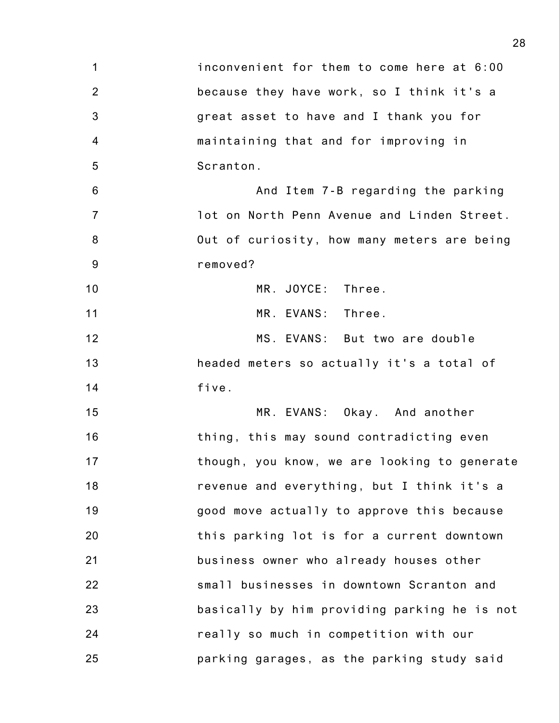| $\mathbf 1$     | inconvenient for them to come here at 6:00   |
|-----------------|----------------------------------------------|
| $\overline{2}$  | because they have work, so I think it's a    |
| 3               | great asset to have and I thank you for      |
| $\overline{4}$  | maintaining that and for improving in        |
| 5               | Scranton.                                    |
| $6\phantom{1}6$ | And Item 7-B regarding the parking           |
| $\overline{7}$  | lot on North Penn Avenue and Linden Street.  |
| 8               | Out of curiosity, how many meters are being  |
| 9               | removed?                                     |
| 10              | MR. JOYCE: Three.                            |
| 11              | MR. EVANS: Three.                            |
| 12              | MS. EVANS: But two are double                |
| 13              | headed meters so actually it's a total of    |
| 14              | five.                                        |
| 15              | MR. EVANS: Okay. And another                 |
| 16              | thing, this may sound contradicting even     |
| 17              | though, you know, we are looking to generate |
| 18              | revenue and everything, but I think it's a   |
| 19              | good move actually to approve this because   |
| 20              | this parking lot is for a current downtown   |
| 21              | business owner who already houses other      |
| 22              | small businesses in downtown Scranton and    |
| 23              | basically by him providing parking he is not |
| 24              | really so much in competition with our       |
| 25              | parking garages, as the parking study said   |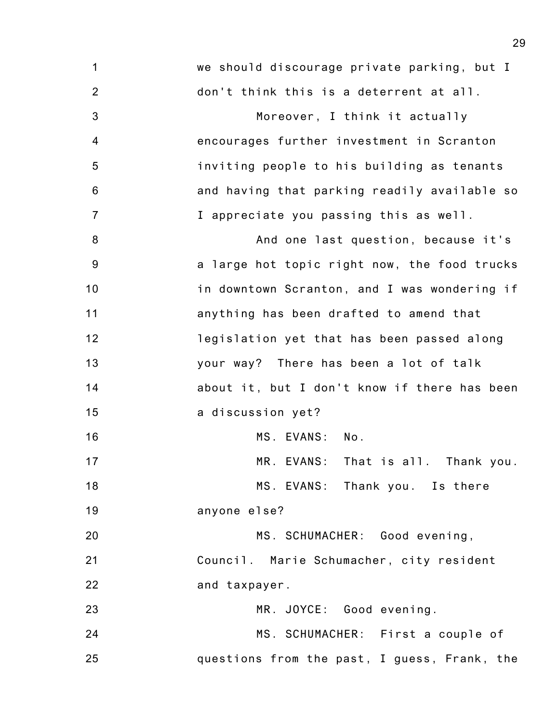| 1              | we should discourage private parking, but I  |
|----------------|----------------------------------------------|
| $\overline{2}$ | don't think this is a deterrent at all.      |
| 3              | Moreover, I think it actually                |
| 4              | encourages further investment in Scranton    |
| 5              | inviting people to his building as tenants   |
| 6              | and having that parking readily available so |
| $\overline{7}$ | I appreciate you passing this as well.       |
| 8              | And one last question, because it's          |
| 9              | a large hot topic right now, the food trucks |
| 10             | in downtown Scranton, and I was wondering if |
| 11             | anything has been drafted to amend that      |
| 12             | legislation yet that has been passed along   |
| 13             | your way? There has been a lot of talk       |
| 14             | about it, but I don't know if there has been |
| 15             | a discussion yet?                            |
| 16             | MS. EVANS:<br>No.                            |
| 17             | MR. EVANS: That is all. Thank you.           |
| 18             | MS. EVANS: Thank you. Is there               |
| 19             | anyone else?                                 |
| 20             | MS. SCHUMACHER: Good evening,                |
| 21             | Council. Marie Schumacher, city resident     |
| 22             | and taxpayer.                                |
| 23             | MR. JOYCE: Good evening.                     |
| 24             | MS. SCHUMACHER: First a couple of            |
| 25             | questions from the past, I guess, Frank, the |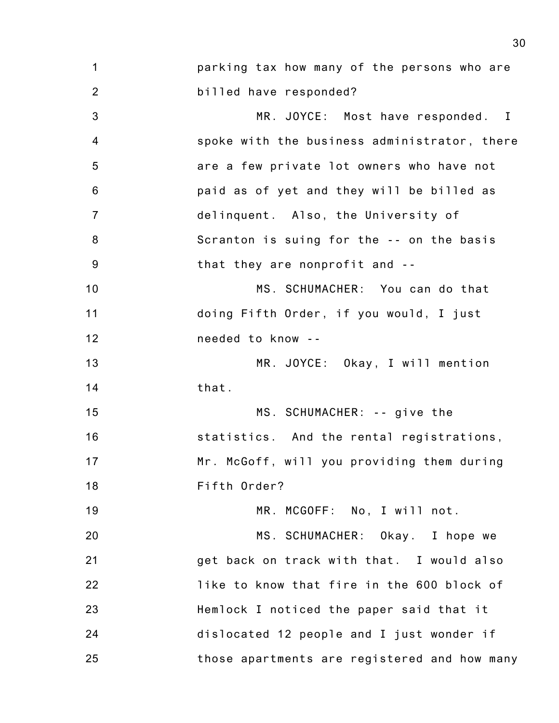| 1               | parking tax how many of the persons who are  |
|-----------------|----------------------------------------------|
| $\overline{2}$  | billed have responded?                       |
| 3               | MR. JOYCE: Most have responded. I            |
| 4               | spoke with the business administrator, there |
| 5               | are a few private lot owners who have not    |
| $6\phantom{1}6$ | paid as of yet and they will be billed as    |
| $\overline{7}$  | delinquent. Also, the University of          |
| 8               | Scranton is suing for the -- on the basis    |
| $9\,$           | that they are nonprofit and --               |
| 10              | MS. SCHUMACHER: You can do that              |
| 11              | doing Fifth Order, if you would, I just      |
| 12              | needed to know --                            |
| 13              | MR. JOYCE: Okay, I will mention              |
| 14              | that.                                        |
| 15              | MS. SCHUMACHER: -- give the                  |
| 16              | statistics. And the rental registrations,    |
| 17              | Mr. McGoff, will you providing them during   |
| 18              | Fifth Order?                                 |
| 19              | MR. MCGOFF: No, I will not.                  |
| 20              | MS. SCHUMACHER: Okay. I hope we              |
| 21              | get back on track with that. I would also    |
| 22              | like to know that fire in the 600 block of   |
| 23              | Hemlock I noticed the paper said that it     |
| 24              | dislocated 12 people and I just wonder if    |
| 25              | those apartments are registered and how many |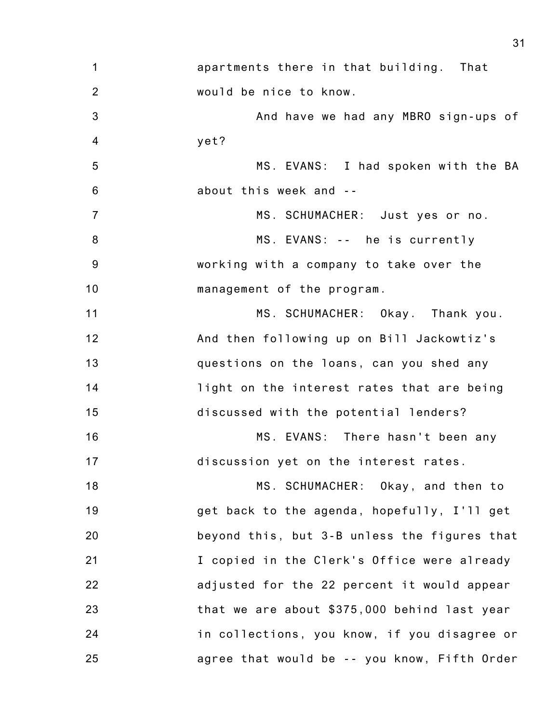1 2 3 4 5 6 7 8 9 10 11 12 13 14 15 16 17 18 19 20 21 22 23 24 25 apartments there in that building. That would be nice to know. And have we had any MBRO sign-ups of yet? MS. EVANS: I had spoken with the BA about this week and -- MS. SCHUMACHER: Just yes or no. MS. EVANS: -- he is currently working with a company to take over the management of the program. MS. SCHUMACHER: Okay. Thank you. And then following up on Bill Jackowtiz's questions on the loans, can you shed any light on the interest rates that are being discussed with the potential lenders? MS. EVANS: There hasn't been any discussion yet on the interest rates. MS. SCHUMACHER: Okay, and then to get back to the agenda, hopefully, I'll get beyond this, but 3-B unless the figures that I copied in the Clerk's Office were already adjusted for the 22 percent it would appear that we are about \$375,000 behind last year in collections, you know, if you disagree or agree that would be -- you know, Fifth Order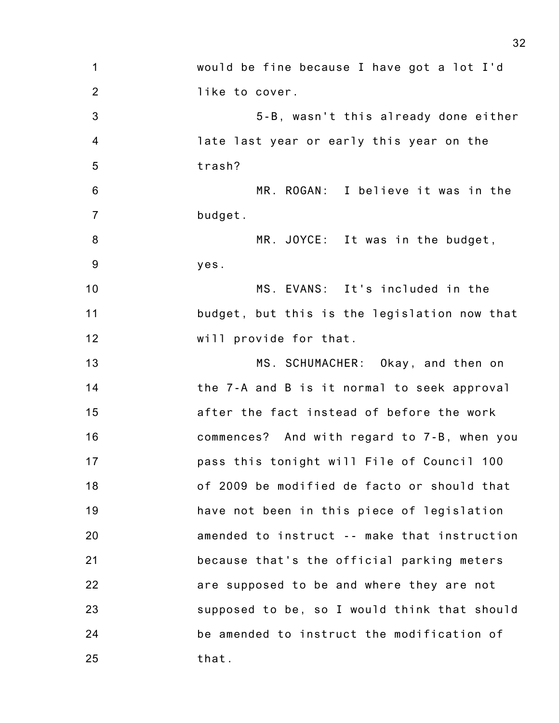1 2 3 4 5 6 7 8 9 10 11 12 13 14 15 16 17 18 19 20 21 22 23 24 25 would be fine because I have got a lot I'd like to cover. 5-B, wasn't this already done either late last year or early this year on the trash? MR. ROGAN: I believe it was in the budget. MR. JOYCE: It was in the budget, yes. MS. EVANS: It's included in the budget, but this is the legislation now that will provide for that. MS. SCHUMACHER: Okay, and then on the 7-A and B is it normal to seek approval after the fact instead of before the work commences? And with regard to 7-B, when you pass this tonight will File of Council 100 of 2009 be modified de facto or should that have not been in this piece of legislation amended to instruct -- make that instruction because that's the official parking meters are supposed to be and where they are not supposed to be, so I would think that should be amended to instruct the modification of that.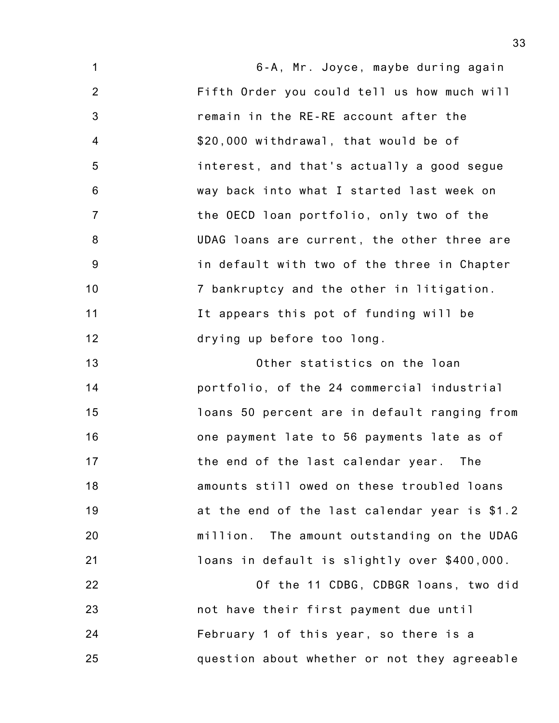1 2 3 4 5 6 7 8 9 10 11 12 6-A, Mr. Joyce, maybe during again Fifth Order you could tell us how much will remain in the RE-RE account after the \$20,000 withdrawal, that would be of interest, and that's actually a good segue way back into what I started last week on the OECD loan portfolio, only two of the UDAG loans are current, the other three are in default with two of the three in Chapter 7 bankruptcy and the other in litigation. It appears this pot of funding will be drying up before too long.

13 14 15 16 17 18 19 20 21 Other statistics on the loan portfolio, of the 24 commercial industrial loans 50 percent are in default ranging from one payment late to 56 payments late as of the end of the last calendar year. The amounts still owed on these troubled loans at the end of the last calendar year is \$1.2 million. The amount outstanding on the UDAG loans in default is slightly over \$400,000.

22 23 24 25 Of the 11 CDBG, CDBGR loans, two did not have their first payment due until February 1 of this year, so there is a question about whether or not they agreeable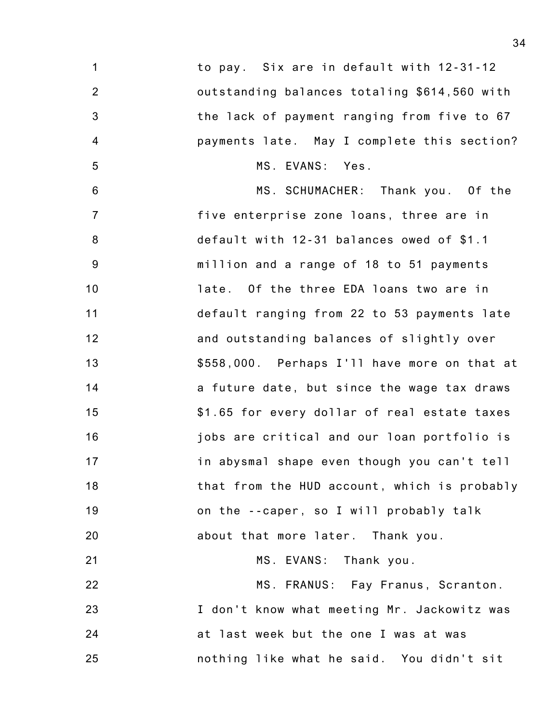| $\mathbf{1}$   | to pay. Six are in default with 12-31-12     |
|----------------|----------------------------------------------|
| $\overline{2}$ | outstanding balances totaling \$614,560 with |
| $\mathfrak{B}$ | the lack of payment ranging from five to 67  |
| 4              | payments late. May I complete this section?  |
| 5              | MS. EVANS: Yes.                              |
| $\,6$          | MS. SCHUMACHER: Thank you. Of the            |
| $\overline{7}$ | five enterprise zone loans, three are in     |
| 8              | default with 12-31 balances owed of \$1.1    |
| 9              | million and a range of 18 to 51 payments     |
| 10             | late. Of the three EDA loans two are in      |
| 11             | default ranging from 22 to 53 payments late  |
| 12             | and outstanding balances of slightly over    |
| 13             | \$558,000. Perhaps I'll have more on that at |
| 14             | a future date, but since the wage tax draws  |
| 15             | \$1.65 for every dollar of real estate taxes |
| 16             | jobs are critical and our loan portfolio is  |
| 17             | in abysmal shape even though you can't tell  |
| 18             | that from the HUD account, which is probably |
| 19             | on the --caper, so I will probably talk      |
| 20             | about that more later. Thank you.            |
| 21             | MS. EVANS: Thank you.                        |
| 22             | MS. FRANUS: Fay Franus, Scranton.            |
| 23             | I don't know what meeting Mr. Jackowitz was  |
| 24             | at last week but the one I was at was        |
|                |                                              |

nothing like what he said. You didn't sit

25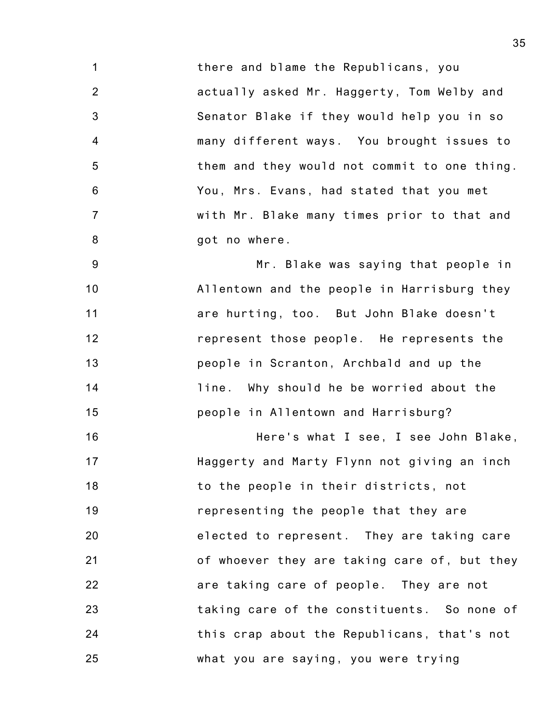1 2 3 4 5 6 7 8 there and blame the Republicans, you actually asked Mr. Haggerty, Tom Welby and Senator Blake if they would help you in so many different ways. You brought issues to them and they would not commit to one thing. You, Mrs. Evans, had stated that you met with Mr. Blake many times prior to that and got no where.

9 10 11 12 13 14 15 Mr. Blake was saying that people in Allentown and the people in Harrisburg they are hurting, too. But John Blake doesn't represent those people. He represents the people in Scranton, Archbald and up the line. Why should he be worried about the people in Allentown and Harrisburg?

16 17 18 19 20 21 22 23 24 25 Here's what I see, I see John Blake, Haggerty and Marty Flynn not giving an inch to the people in their districts, not representing the people that they are elected to represent. They are taking care of whoever they are taking care of, but they are taking care of people. They are not taking care of the constituents. So none of this crap about the Republicans, that's not what you are saying, you were trying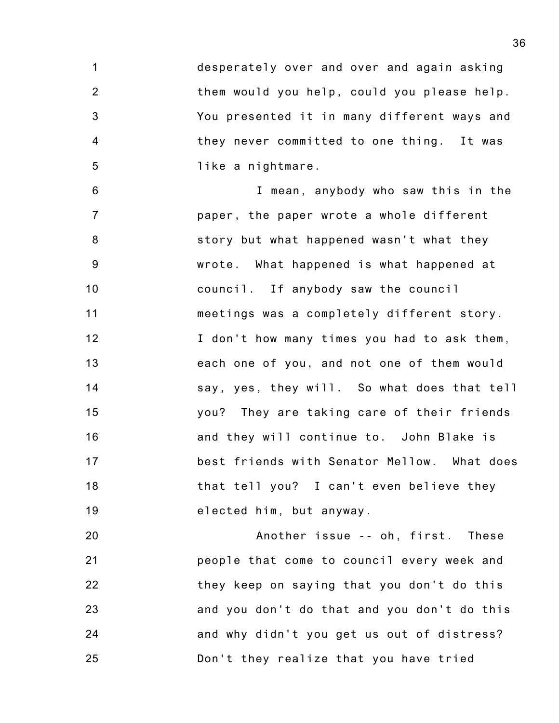1 2 3 4 5 desperately over and over and again asking them would you help, could you please help. You presented it in many different ways and they never committed to one thing. It was like a nightmare.

6 7 8 9 10 11 12 13 14 15 16 17 18 19 I mean, anybody who saw this in the paper, the paper wrote a whole different story but what happened wasn't what they wrote. What happened is what happened at council. If anybody saw the council meetings was a completely different story. I don't how many times you had to ask them, each one of you, and not one of them would say, yes, they will. So what does that tell you? They are taking care of their friends and they will continue to. John Blake is best friends with Senator Mellow. What does that tell you? I can't even believe they elected him, but anyway.

20 21 22 23 24 25 Another issue -- oh, first. These people that come to council every week and they keep on saying that you don't do this and you don't do that and you don't do this and why didn't you get us out of distress? Don't they realize that you have tried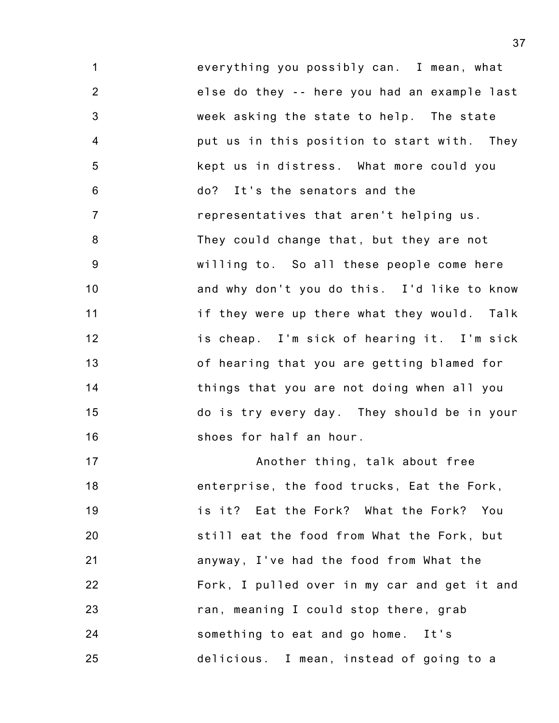1 2 3 4 5 6 7 8 9 10 11 12 13 14 15 16 everything you possibly can. I mean, what else do they -- here you had an example last week asking the state to help. The state put us in this position to start with. They kept us in distress. What more could you do? It's the senators and the representatives that aren't helping us. They could change that, but they are not willing to. So all these people come here and why don't you do this. I'd like to know if they were up there what they would. Talk is cheap. I'm sick of hearing it. I'm sick of hearing that you are getting blamed for things that you are not doing when all you do is try every day. They should be in your shoes for half an hour.

17 18 19 20 21 22 23 24 25 Another thing, talk about free enterprise, the food trucks, Eat the Fork, is it? Eat the Fork? What the Fork? You still eat the food from What the Fork, but anyway, I've had the food from What the Fork, I pulled over in my car and get it and ran, meaning I could stop there, grab something to eat and go home. It's delicious. I mean, instead of going to a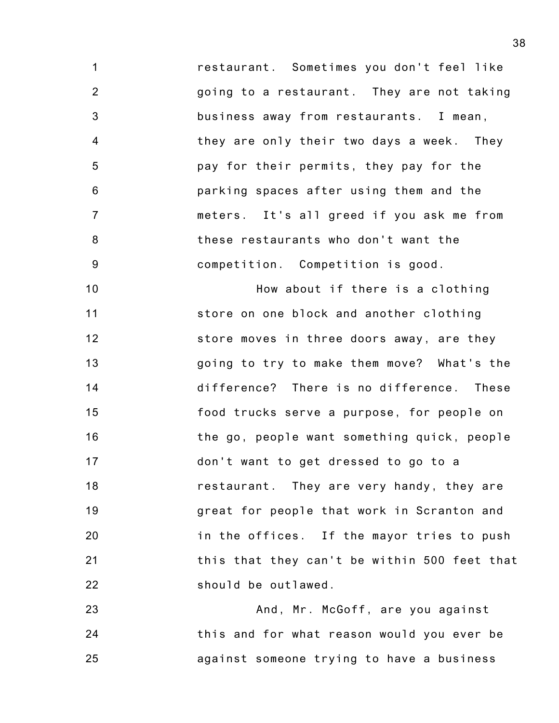1 2 3 4 5 6 7 8 9 restaurant. Sometimes you don't feel like going to a restaurant. They are not taking business away from restaurants. I mean, they are only their two days a week. They pay for their permits, they pay for the parking spaces after using them and the meters. It's all greed if you ask me from these restaurants who don't want the competition. Competition is good.

10 11 12 13 14 15 16 17 18 19 20 21 22 How about if there is a clothing store on one block and another clothing store moves in three doors away, are they going to try to make them move? What's the difference? There is no difference. These food trucks serve a purpose, for people on the go, people want something quick, people don't want to get dressed to go to a restaurant. They are very handy, they are great for people that work in Scranton and in the offices. If the mayor tries to push this that they can't be within 500 feet that should be outlawed.

23 24 25 And, Mr. McGoff, are you against this and for what reason would you ever be against someone trying to have a business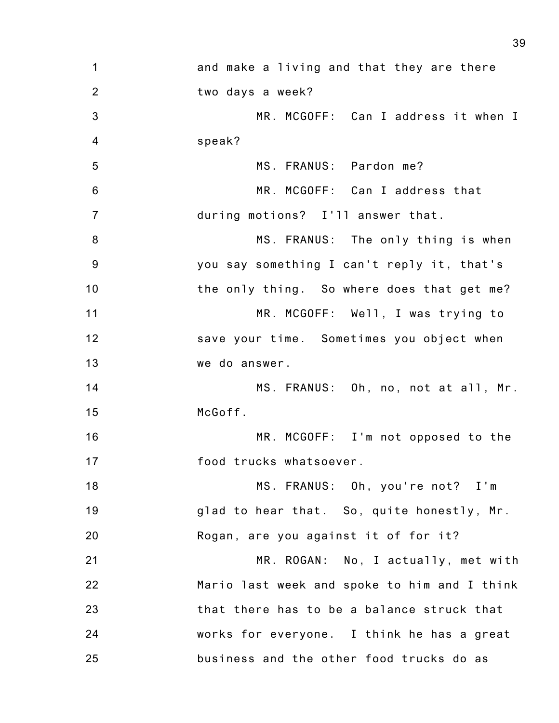| $\mathbf 1$    | and make a living and that they are there    |
|----------------|----------------------------------------------|
| $\overline{2}$ | two days a week?                             |
| $\mathbf{3}$   | MR. MCGOFF: Can I address it when I          |
| $\overline{4}$ | speak?                                       |
| 5              | MS. FRANUS: Pardon me?                       |
| $6\,$          | MR. MCGOFF: Can I address that               |
| $\overline{7}$ | during motions? I'll answer that.            |
| 8              | MS. FRANUS: The only thing is when           |
| 9              | you say something I can't reply it, that's   |
| 10             | the only thing. So where does that get me?   |
| 11             | MR. MCGOFF: Well, I was trying to            |
| 12             | save your time. Sometimes you object when    |
| 13             | we do answer.                                |
| 14             | MS. FRANUS: Oh, no, not at all, Mr.          |
| 15             | McGoff.                                      |
| 16             | MR. MCGOFF: I'm not opposed to the           |
| 17             | food trucks whatsoever.                      |
| 18             | MS. FRANUS: Oh, you're not? I'm              |
| 19             | glad to hear that. So, quite honestly, Mr.   |
| 20             | Rogan, are you against it of for it?         |
| 21             | MR. ROGAN: No, I actually, met with          |
| 22             | Mario last week and spoke to him and I think |
| 23             | that there has to be a balance struck that   |
| 24             | works for everyone. I think he has a great   |
| 25             | business and the other food trucks do as     |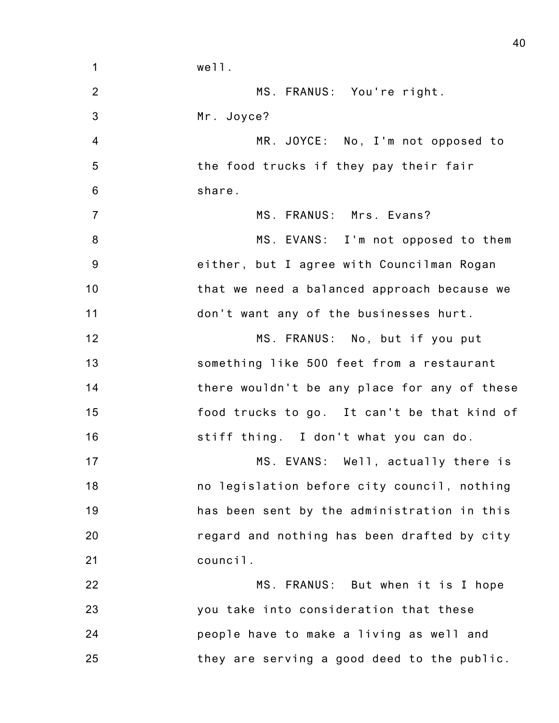| $\mathbf 1$     | well.                                        |
|-----------------|----------------------------------------------|
| $\overline{2}$  | MS. FRANUS: You're right.                    |
| $\mathbf{3}$    | Mr. Joyce?                                   |
| $\overline{4}$  | MR. JOYCE: No, I'm not opposed to            |
| 5               | the food trucks if they pay their fair       |
| $6\phantom{1}6$ | share.                                       |
| $\overline{7}$  | MS. FRANUS: Mrs. Evans?                      |
| 8               | MS. EVANS: I'm not opposed to them           |
| $9\,$           | either, but I agree with Councilman Rogan    |
| 10              | that we need a balanced approach because we  |
| 11              | don't want any of the businesses hurt.       |
| 12              | MS. FRANUS: No, but if you put               |
| 13              | something like 500 feet from a restaurant    |
| 14              | there wouldn't be any place for any of these |
| 15              | food trucks to go. It can't be that kind of  |
| 16              | stiff thing. I don't what you can do.        |
| 17              | MS. EVANS: Well, actually there is           |
| 18              | no legislation before city council, nothing  |
| 19              | has been sent by the administration in this  |
| 20              | regard and nothing has been drafted by city  |
| 21              | council.                                     |
| 22              | MS. FRANUS: But when it is I hope            |
| 23              | you take into consideration that these       |
| 24              | people have to make a living as well and     |
| 25              | they are serving a good deed to the public.  |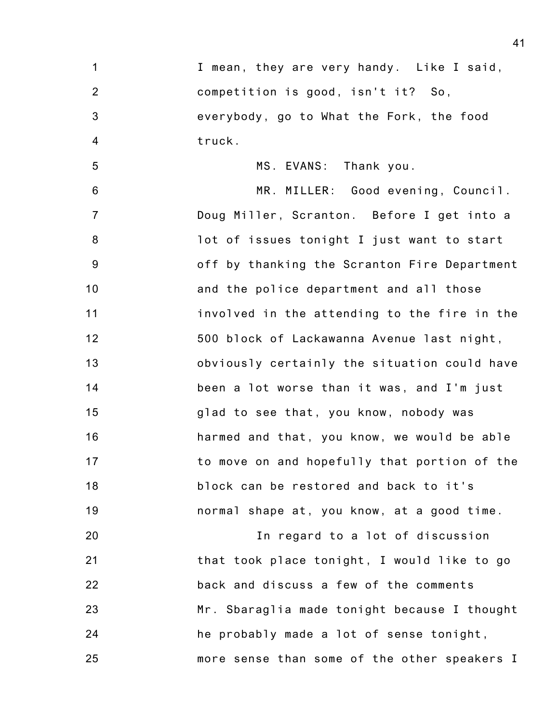| 1              | I mean, they are very handy. Like I said,    |
|----------------|----------------------------------------------|
| $\overline{2}$ | competition is good, isn't it? So,           |
| $\mathbf{3}$   | everybody, go to What the Fork, the food     |
| $\overline{4}$ | truck.                                       |
| 5              | MS. EVANS: Thank you.                        |
| 6              | MR. MILLER: Good evening, Council.           |
| $\overline{7}$ | Doug Miller, Scranton. Before I get into a   |
| 8              | lot of issues tonight I just want to start   |
| $9\,$          | off by thanking the Scranton Fire Department |
| 10             | and the police department and all those      |
| 11             | involved in the attending to the fire in the |
| 12             | 500 block of Lackawanna Avenue last night,   |
| 13             | obviously certainly the situation could have |
| 14             | been a lot worse than it was, and I'm just   |
| 15             | glad to see that, you know, nobody was       |
| 16             | harmed and that, you know, we would be able  |
| 17             | to move on and hopefully that portion of the |
| 18             | block can be restored and back to it's       |
| 19             | normal shape at, you know, at a good time.   |
| 20             | In regard to a lot of discussion             |
| 21             | that took place tonight, I would like to go  |
| 22             | back and discuss a few of the comments       |
| 23             | Mr. Sbaraglia made tonight because I thought |
| 24             | he probably made a lot of sense tonight,     |

more sense than some of the other speakers I

25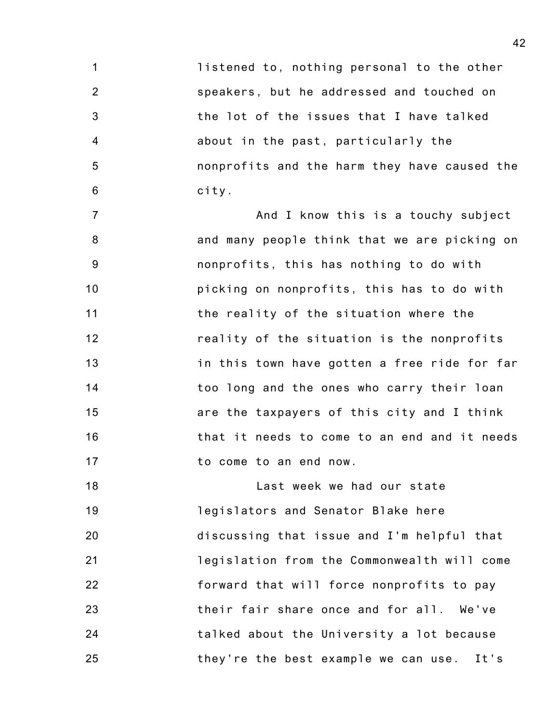1 2 3 4 5 6 listened to, nothing personal to the other speakers, but he addressed and touched on the lot of the issues that I have talked about in the past, particularly the nonprofits and the harm they have caused the city.

7 8 9 10 11 12 13 14 15 16 17 And I know this is a touchy subject and many people think that we are picking on nonprofits, this has nothing to do with picking on nonprofits, this has to do with the reality of the situation where the reality of the situation is the nonprofits in this town have gotten a free ride for far too long and the ones who carry their loan are the taxpayers of this city and I think that it needs to come to an end and it needs to come to an end now.

18 19 20 21 22 23 24 25 Last week we had our state legislators and Senator Blake here discussing that issue and I'm helpful that legislation from the Commonwealth will come forward that will force nonprofits to pay their fair share once and for all. We've talked about the University a lot because they're the best example we can use. It's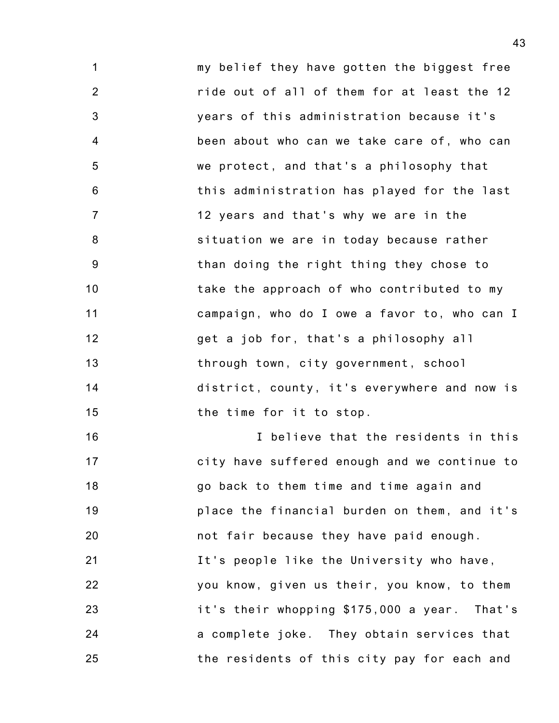1 2 3 4 5 6 7 8 9 10 11 12 13 14 15 my belief they have gotten the biggest free ride out of all of them for at least the 12 years of this administration because it's been about who can we take care of, who can we protect, and that's a philosophy that this administration has played for the last 12 years and that's why we are in the situation we are in today because rather than doing the right thing they chose to take the approach of who contributed to my campaign, who do I owe a favor to, who can I get a job for, that's a philosophy all through town, city government, school district, county, it's everywhere and now is the time for it to stop.

16 17 18 19 20 21 22 23 24 25 I believe that the residents in this city have suffered enough and we continue to go back to them time and time again and place the financial burden on them, and it's not fair because they have paid enough. It's people like the University who have, you know, given us their, you know, to them it's their whopping \$175,000 a year. That's a complete joke. They obtain services that the residents of this city pay for each and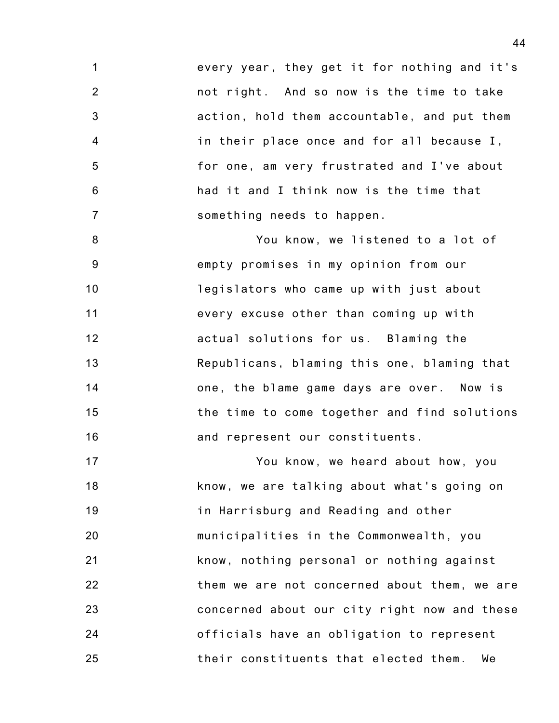1 2 3 4 5 6 7 every year, they get it for nothing and it's not right. And so now is the time to take action, hold them accountable, and put them in their place once and for all because I, for one, am very frustrated and I've about had it and I think now is the time that something needs to happen.

8 9 10 11 12 13 14 15 16 You know, we listened to a lot of empty promises in my opinion from our legislators who came up with just about every excuse other than coming up with actual solutions for us. Blaming the Republicans, blaming this one, blaming that one, the blame game days are over. Now is the time to come together and find solutions and represent our constituents.

17 18 19 20 21 22 23 24 25 You know, we heard about how, you know, we are talking about what's going on in Harrisburg and Reading and other municipalities in the Commonwealth, you know, nothing personal or nothing against them we are not concerned about them, we are concerned about our city right now and these officials have an obligation to represent their constituents that elected them. We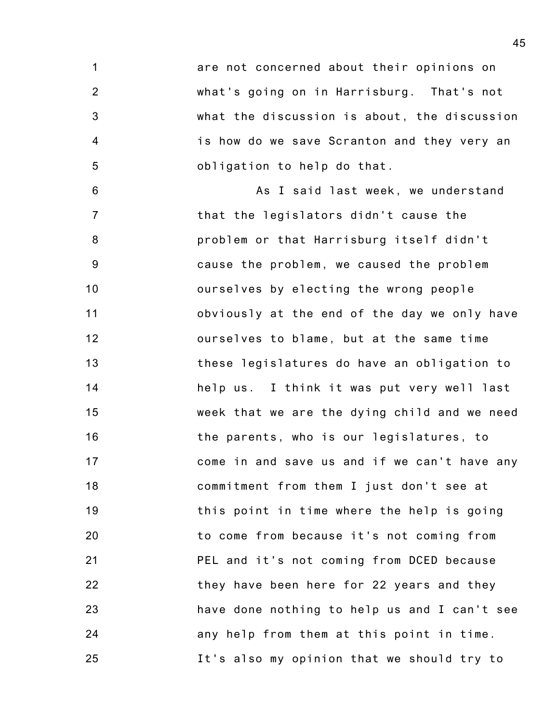1 2 3 4 5 are not concerned about their opinions on what's going on in Harrisburg. That's not what the discussion is about, the discussion is how do we save Scranton and they very an obligation to help do that.

6 7 8 9 10 11 12 13 14 15 16 17 18 19 20 21 22 23 24 25 As I said last week, we understand that the legislators didn't cause the problem or that Harrisburg itself didn't cause the problem, we caused the problem ourselves by electing the wrong people obviously at the end of the day we only have ourselves to blame, but at the same time these legislatures do have an obligation to help us. I think it was put very well last week that we are the dying child and we need the parents, who is our legislatures, to come in and save us and if we can't have any commitment from them I just don't see at this point in time where the help is going to come from because it's not coming from PEL and it's not coming from DCED because they have been here for 22 years and they have done nothing to help us and I can't see any help from them at this point in time. It's also my opinion that we should try to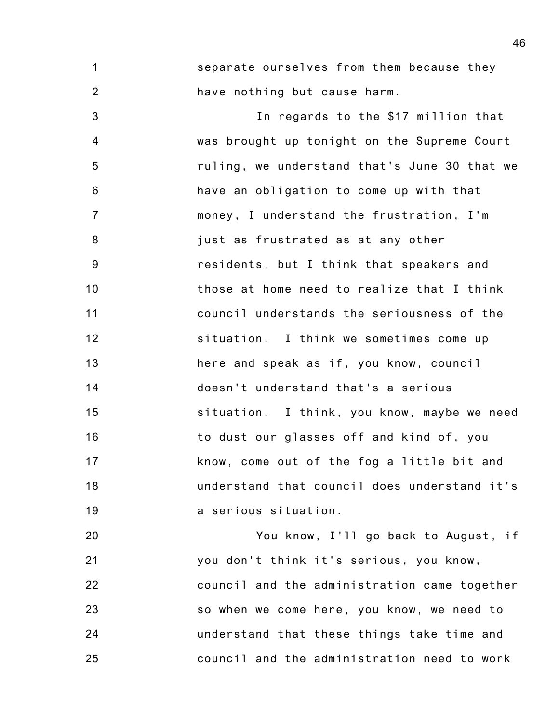1 2 separate ourselves from them because they have nothing but cause harm.

3 4 5 6 7 8 9 10 11 12 13 14 15 16 17 18 19 In regards to the \$17 million that was brought up tonight on the Supreme Court ruling, we understand that's June 30 that we have an obligation to come up with that money, I understand the frustration, I'm just as frustrated as at any other residents, but I think that speakers and those at home need to realize that I think council understands the seriousness of the situation. I think we sometimes come up here and speak as if, you know, council doesn't understand that's a serious situation. I think, you know, maybe we need to dust our glasses off and kind of, you know, come out of the fog a little bit and understand that council does understand it's a serious situation.

20 21 22 23 24 25 You know, I'll go back to August, if you don't think it's serious, you know, council and the administration came together so when we come here, you know, we need to understand that these things take time and council and the administration need to work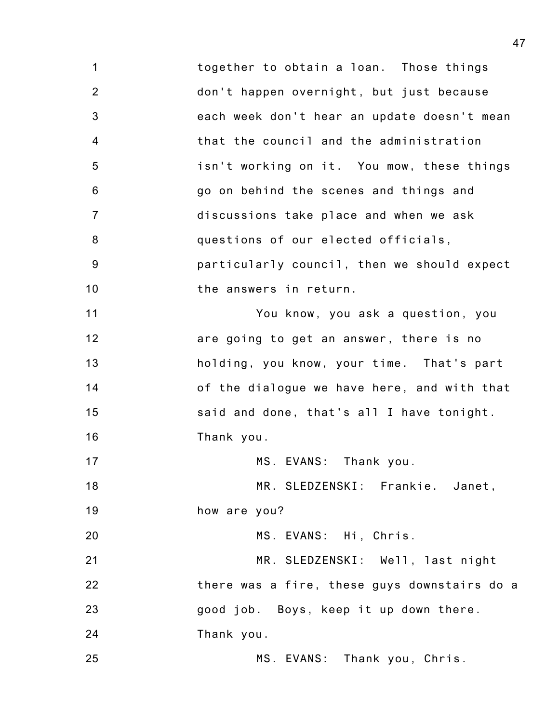1 2 3 4 5 6 7 8 9 10 11 12 13 14 15 16 17 18 19 20 21 22 23 24 25 together to obtain a loan. Those things don't happen overnight, but just because each week don't hear an update doesn't mean that the council and the administration isn't working on it. You mow, these things go on behind the scenes and things and discussions take place and when we ask questions of our elected officials, particularly council, then we should expect the answers in return. You know, you ask a question, you are going to get an answer, there is no holding, you know, your time. That's part of the dialogue we have here, and with that said and done, that's all I have tonight. Thank you. MS. EVANS: Thank you. MR. SLEDZENSKI: Frankie. Janet, how are you? MS. EVANS: Hi, Chris. MR. SLEDZENSKI: Well, last night there was a fire, these guys downstairs do a good job. Boys, keep it up down there. Thank you. MS. EVANS: Thank you, Chris.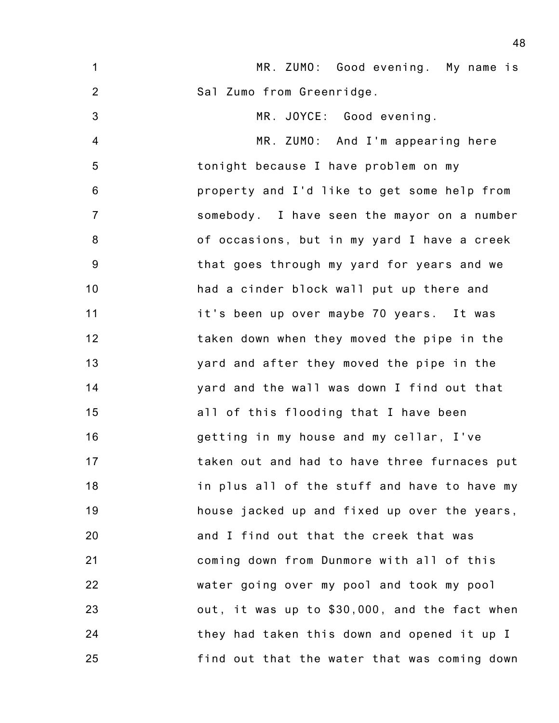| $\mathbf{1}$   | MR. ZUMO: Good evening. My name is            |
|----------------|-----------------------------------------------|
| $\overline{2}$ | Sal Zumo from Greenridge.                     |
| 3              | MR. JOYCE: Good evening.                      |
| $\overline{4}$ | MR. ZUMO: And I'm appearing here              |
| 5              | tonight because I have problem on my          |
| $6\phantom{1}$ | property and I'd like to get some help from   |
| $\overline{7}$ | somebody. I have seen the mayor on a number   |
| 8              | of occasions, but in my yard I have a creek   |
| 9              | that goes through my yard for years and we    |
| 10             | had a cinder block wall put up there and      |
| 11             | it's been up over maybe 70 years. It was      |
| 12             | taken down when they moved the pipe in the    |
| 13             | yard and after they moved the pipe in the     |
| 14             | yard and the wall was down I find out that    |
| 15             | all of this flooding that I have been         |
| 16             | getting in my house and my cellar, I've       |
| 17             | taken out and had to have three furnaces put  |
| 18             | in plus all of the stuff and have to have my  |
| 19             | house jacked up and fixed up over the years,  |
| 20             | and I find out that the creek that was        |
| 21             | coming down from Dunmore with all of this     |
| 22             | water going over my pool and took my pool     |
| 23             | out, it was up to \$30,000, and the fact when |
| 24             | they had taken this down and opened it up I   |
| 25             | find out that the water that was coming down  |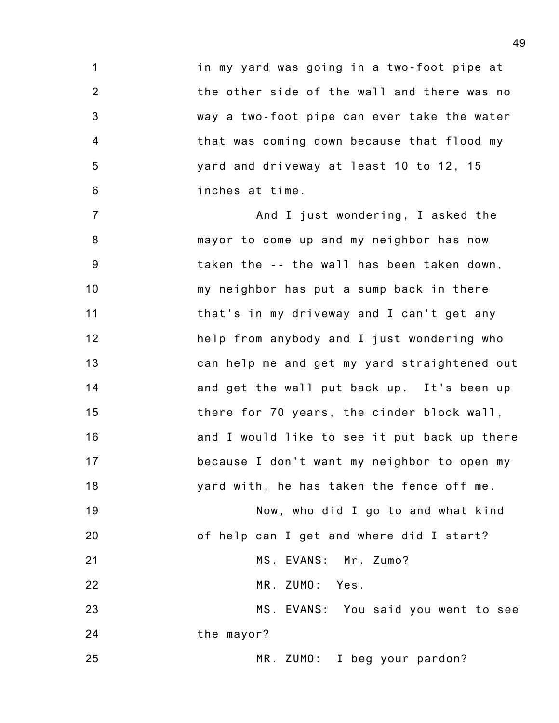1 2 3 4 5 6 in my yard was going in a two-foot pipe at the other side of the wall and there was no way a two-foot pipe can ever take the water that was coming down because that flood my yard and driveway at least 10 to 12, 15 inches at time.

7 8 9 10 11 12 13 14 15 16 17 18 And I just wondering, I asked the mayor to come up and my neighbor has now taken the -- the wall has been taken down, my neighbor has put a sump back in there that's in my driveway and I can't get any help from anybody and I just wondering who can help me and get my yard straightened out and get the wall put back up. It's been up there for 70 years, the cinder block wall, and I would like to see it put back up there because I don't want my neighbor to open my yard with, he has taken the fence off me.

19 20 21 22 23 24 25 Now, who did I go to and what kind of help can I get and where did I start? MS. EVANS: Mr. Zumo? MR. ZUMO: Yes. MS. EVANS: You said you went to see the mayor? MR. ZUMO: I beg your pardon?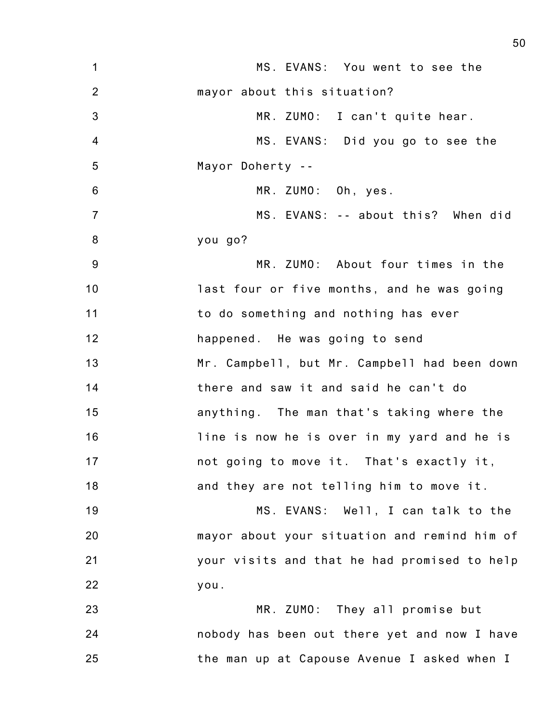| $\mathbf 1$    | MS. EVANS: You went to see the               |
|----------------|----------------------------------------------|
| $\overline{2}$ | mayor about this situation?                  |
| 3              | MR. ZUMO: I can't quite hear.                |
| $\overline{4}$ | MS. EVANS: Did you go to see the             |
| 5              | Mayor Doherty --                             |
| $6\,$          | MR. ZUMO: Oh, yes.                           |
| $\overline{7}$ | MS. EVANS: -- about this? When did           |
| 8              | you go?                                      |
| 9              | MR. ZUMO: About four times in the            |
| 10             | last four or five months, and he was going   |
| 11             | to do something and nothing has ever         |
| 12             | happened. He was going to send               |
| 13             | Mr. Campbell, but Mr. Campbell had been down |
| 14             | there and saw it and said he can't do        |
| 15             | anything. The man that's taking where the    |
| 16             | line is now he is over in my yard and he is  |
| 17             | not going to move it. That's exactly it,     |
| 18             | and they are not telling him to move it.     |
| 19             | MS. EVANS: Well, I can talk to the           |
| 20             | mayor about your situation and remind him of |
| 21             | your visits and that he had promised to help |
| 22             | you.                                         |
| 23             | MR. ZUMO: They all promise but               |
| 24             | nobody has been out there yet and now I have |
| 25             | the man up at Capouse Avenue I asked when I  |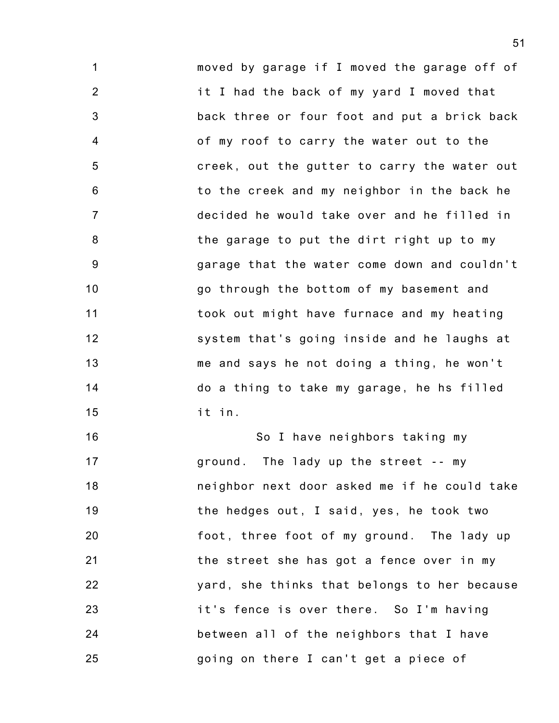1 2 3 4 5 6 7 8 9 10 11 12 13 14 15 moved by garage if I moved the garage off of it I had the back of my yard I moved that back three or four foot and put a brick back of my roof to carry the water out to the creek, out the gutter to carry the water out to the creek and my neighbor in the back he decided he would take over and he filled in the garage to put the dirt right up to my garage that the water come down and couldn't go through the bottom of my basement and took out might have furnace and my heating system that's going inside and he laughs at me and says he not doing a thing, he won't do a thing to take my garage, he hs filled it in.

16 17 18 19 20 21 22 23 24 25 So I have neighbors taking my ground. The lady up the street -- my neighbor next door asked me if he could take the hedges out, I said, yes, he took two foot, three foot of my ground. The lady up the street she has got a fence over in my yard, she thinks that belongs to her because it's fence is over there. So I'm having between all of the neighbors that I have going on there I can't get a piece of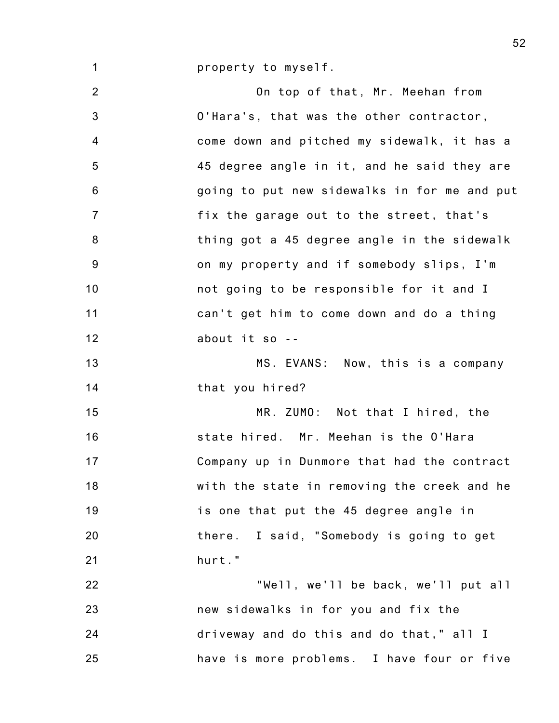property to myself.

1

2 3 4 5 6 7 8 9 10 11 12 13 14 15 16 17 18 19 20 21 22 23 24 25 On top of that, Mr. Meehan from O'Hara's, that was the other contractor, come down and pitched my sidewalk, it has a 45 degree angle in it, and he said they are going to put new sidewalks in for me and put fix the garage out to the street, that's thing got a 45 degree angle in the sidewalk on my property and if somebody slips, I'm not going to be responsible for it and I can't get him to come down and do a thing about it so -- MS. EVANS: Now, this is a company that you hired? MR. ZUMO: Not that I hired, the state hired. Mr. Meehan is the O'Hara Company up in Dunmore that had the contract with the state in removing the creek and he is one that put the 45 degree angle in there. I said, "Somebody is going to get hurt." "Well, we'll be back, we'll put all new sidewalks in for you and fix the driveway and do this and do that," all I have is more problems. I have four or five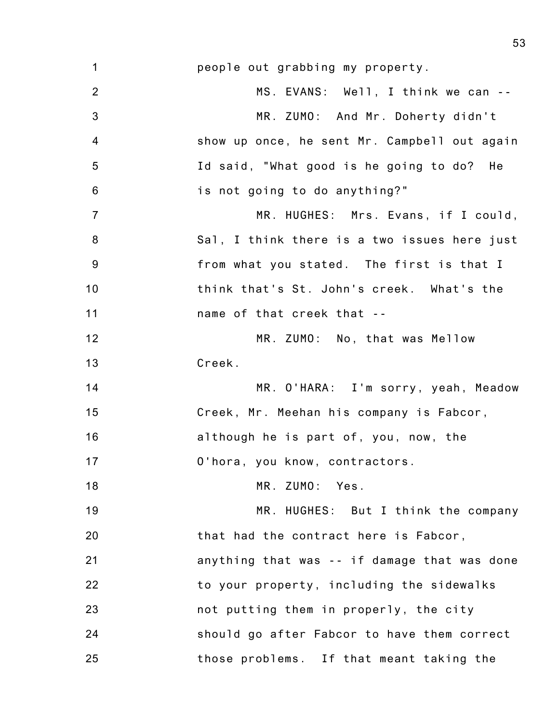| $\mathbf 1$    | people out grabbing my property.             |
|----------------|----------------------------------------------|
| $\overline{2}$ | MS. EVANS: Well, I think we can --           |
| 3              | MR. ZUMO: And Mr. Doherty didn't             |
| $\overline{4}$ | show up once, he sent Mr. Campbell out again |
| 5              | Id said, "What good is he going to do? He    |
| 6              | is not going to do anything?"                |
| $\overline{7}$ | MR. HUGHES: Mrs. Evans, if I could,          |
| 8              | Sal, I think there is a two issues here just |
| $9\,$          | from what you stated. The first is that I    |
| 10             | think that's St. John's creek. What's the    |
| 11             | name of that creek that --                   |
| 12             | MR. ZUMO: No, that was Mellow                |
| 13             | Creek.                                       |
| 14             | MR. O'HARA: I'm sorry, yeah, Meadow          |
| 15             | Creek, Mr. Meehan his company is Fabcor,     |
| 16             | although he is part of, you, now, the        |
| 17             | O'hora, you know, contractors.               |
| 18             | MR. ZUMO: Yes.                               |
| 19             | MR. HUGHES: But I think the company          |
| 20             | that had the contract here is Fabcor,        |
| 21             | anything that was -- if damage that was done |
| 22             | to your property, including the sidewalks    |
| 23             | not putting them in properly, the city       |
| 24             | should go after Fabcor to have them correct  |
| 25             | those problems. If that meant taking the     |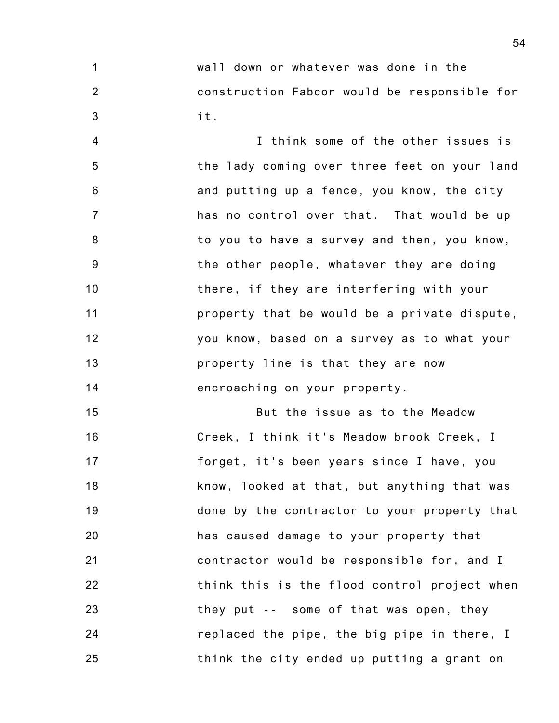1 2 3 wall down or whatever was done in the construction Fabcor would be responsible for it.

4 5 6 7 8 9 10 11 12 13 14 I think some of the other issues is the lady coming over three feet on your land and putting up a fence, you know, the city has no control over that. That would be up to you to have a survey and then, you know, the other people, whatever they are doing there, if they are interfering with your property that be would be a private dispute, you know, based on a survey as to what your property line is that they are now encroaching on your property.

15 16 17 18 19 20 21 22 23 24 25 But the issue as to the Meadow Creek, I think it's Meadow brook Creek, I forget, it's been years since I have, you know, looked at that, but anything that was done by the contractor to your property that has caused damage to your property that contractor would be responsible for, and I think this is the flood control project when they put -- some of that was open, they replaced the pipe, the big pipe in there, I think the city ended up putting a grant on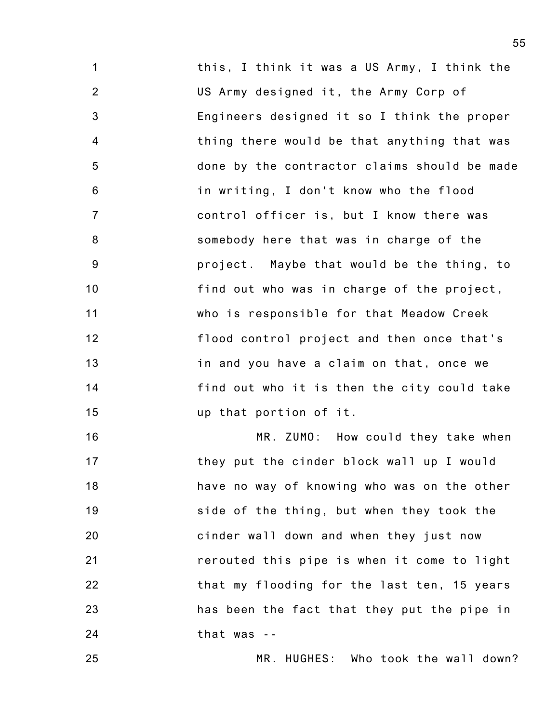1 2 3 4 5 6 7 8 9 10 11 12 13 14 15 this, I think it was a US Army, I think the US Army designed it, the Army Corp of Engineers designed it so I think the proper thing there would be that anything that was done by the contractor claims should be made in writing, I don't know who the flood control officer is, but I know there was somebody here that was in charge of the project. Maybe that would be the thing, to find out who was in charge of the project, who is responsible for that Meadow Creek flood control project and then once that's in and you have a claim on that, once we find out who it is then the city could take up that portion of it.

16 17 18 19 20 21 22 23 24 MR. ZUMO: How could they take when they put the cinder block wall up I would have no way of knowing who was on the other side of the thing, but when they took the cinder wall down and when they just now rerouted this pipe is when it come to light that my flooding for the last ten, 15 years has been the fact that they put the pipe in that was --

MR. HUGHES: Who took the wall down?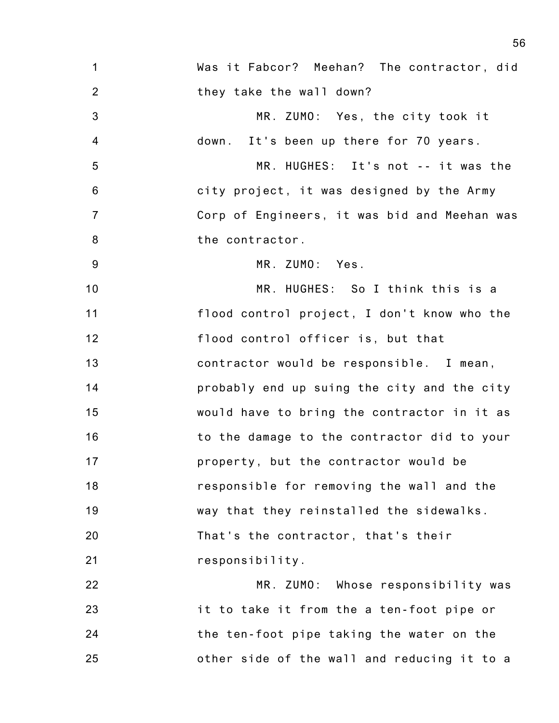| $\mathbf 1$    | Was it Fabcor? Meehan? The contractor, did   |
|----------------|----------------------------------------------|
| $\overline{2}$ | they take the wall down?                     |
| 3              | MR. ZUMO: Yes, the city took it              |
| $\overline{4}$ | down. It's been up there for 70 years.       |
| 5              | MR. HUGHES: It's not -- it was the           |
| $6\phantom{1}$ | city project, it was designed by the Army    |
| $\overline{7}$ | Corp of Engineers, it was bid and Meehan was |
| 8              | the contractor.                              |
| 9              | MR. ZUMO: Yes.                               |
| 10             | MR. HUGHES: So I think this is a             |
| 11             | flood control project, I don't know who the  |
| 12             | flood control officer is, but that           |
| 13             | contractor would be responsible. I mean,     |
| 14             | probably end up suing the city and the city  |
| 15             | would have to bring the contractor in it as  |
| 16             | to the damage to the contractor did to your  |
| 17             | property, but the contractor would be        |
| 18             | responsible for removing the wall and the    |
| 19             | way that they reinstalled the sidewalks.     |
| 20             | That's the contractor, that's their          |
| 21             | responsibility.                              |
| 22             | MR. ZUMO: Whose responsibility was           |
| 23             | it to take it from the a ten-foot pipe or    |
| 24             | the ten-foot pipe taking the water on the    |
| 25             | other side of the wall and reducing it to a  |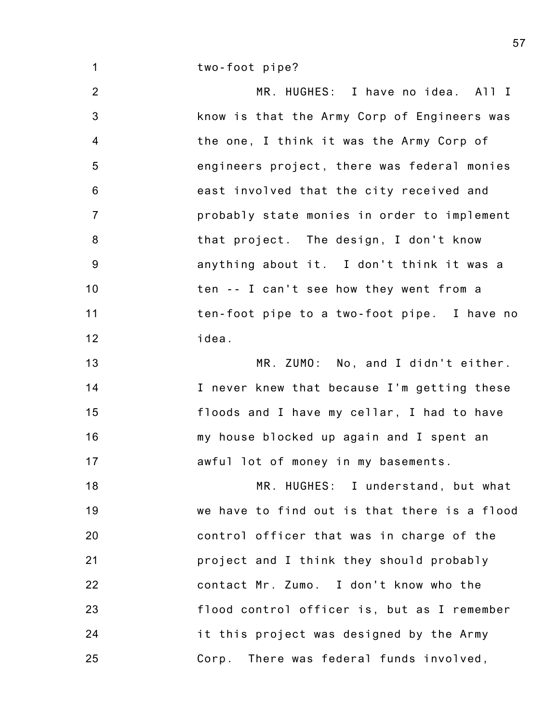two-foot pipe?

1

2 3 4 5 6 7 8 9 10 11 12 13 MR. HUGHES: I have no idea. All I know is that the Army Corp of Engineers was the one, I think it was the Army Corp of engineers project, there was federal monies east involved that the city received and probably state monies in order to implement that project. The design, I don't know anything about it. I don't think it was a ten -- I can't see how they went from a ten-foot pipe to a two-foot pipe. I have no idea. MR. ZUMO: No, and I didn't either.

14 15 16 17 I never knew that because I'm getting these floods and I have my cellar, I had to have my house blocked up again and I spent an awful lot of money in my basements.

18 19 20 21 22 23 24 25 MR. HUGHES: I understand, but what we have to find out is that there is a flood control officer that was in charge of the project and I think they should probably contact Mr. Zumo. I don't know who the flood control officer is, but as I remember it this project was designed by the Army Corp. There was federal funds involved,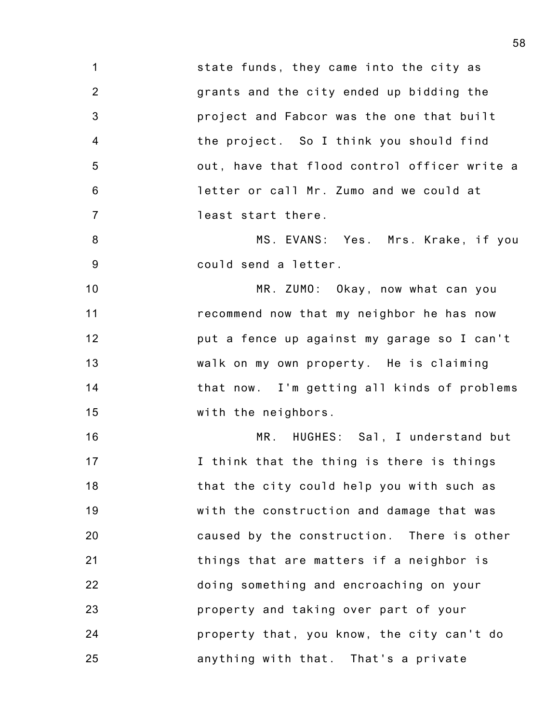1 2 3 4 5 6 7 state funds, they came into the city as grants and the city ended up bidding the project and Fabcor was the one that built the project. So I think you should find out, have that flood control officer write a letter or call Mr. Zumo and we could at least start there.

8 9 MS. EVANS: Yes. Mrs. Krake, if you could send a letter.

10 11 12 13 14 15 MR. ZUMO: Okay, now what can you recommend now that my neighbor he has now put a fence up against my garage so I can't walk on my own property. He is claiming that now. I'm getting all kinds of problems with the neighbors.

16 17 18 19 20 21 22 23 24 25 MR. HUGHES: Sal, I understand but I think that the thing is there is things that the city could help you with such as with the construction and damage that was caused by the construction. There is other things that are matters if a neighbor is doing something and encroaching on your property and taking over part of your property that, you know, the city can't do anything with that. That's a private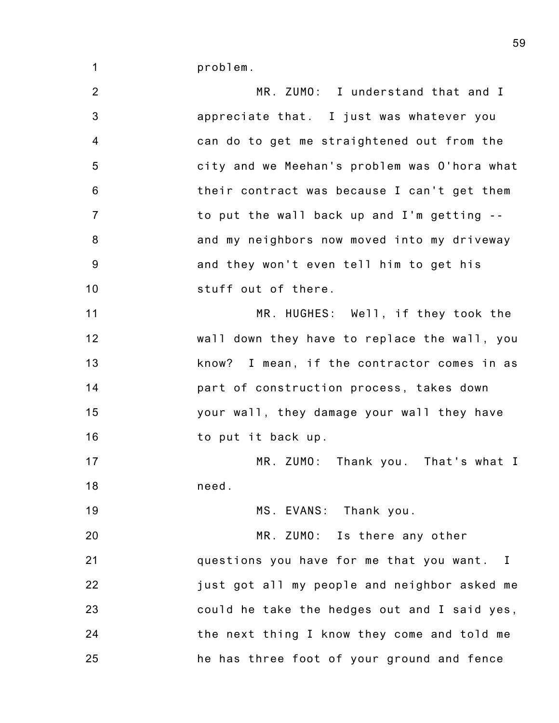problem.

1

2 3 4 5 6 7 8 9 10 11 12 13 14 15 16 17 18 19 20 21 22 23 24 25 MR. ZUMO: I understand that and I appreciate that. I just was whatever you can do to get me straightened out from the city and we Meehan's problem was O'hora what their contract was because I can't get them to put the wall back up and I'm getting - and my neighbors now moved into my driveway and they won't even tell him to get his stuff out of there. MR. HUGHES: Well, if they took the wall down they have to replace the wall, you know? I mean, if the contractor comes in as part of construction process, takes down your wall, they damage your wall they have to put it back up. MR. ZUMO: Thank you. That's what I need. MS. EVANS: Thank you. MR. ZUMO: Is there any other questions you have for me that you want. I just got all my people and neighbor asked me could he take the hedges out and I said yes, the next thing I know they come and told me he has three foot of your ground and fence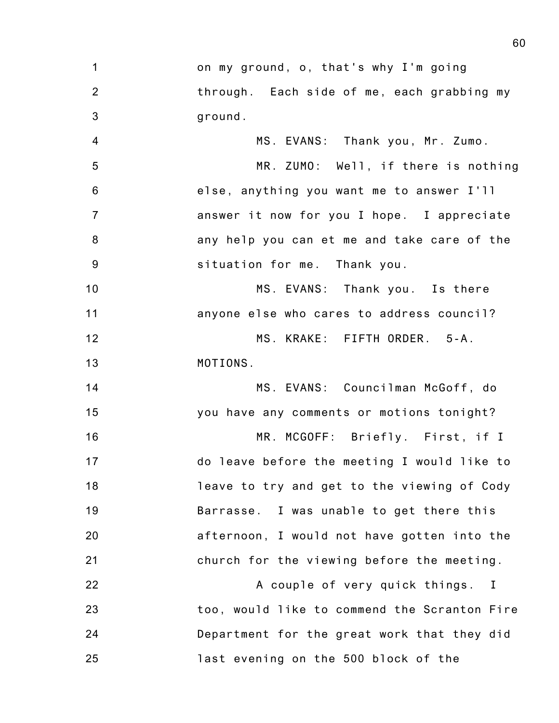| $\mathbf 1$    | on my ground, o, that's why I'm going        |
|----------------|----------------------------------------------|
| $\overline{2}$ | through. Each side of me, each grabbing my   |
| 3              | ground.                                      |
| $\overline{4}$ | MS. EVANS: Thank you, Mr. Zumo.              |
| 5              | MR. ZUMO: Well, if there is nothing          |
| 6              | else, anything you want me to answer I'll    |
| $\overline{7}$ | answer it now for you I hope. I appreciate   |
| 8              | any help you can et me and take care of the  |
| 9              | situation for me. Thank you.                 |
| 10             | MS. EVANS: Thank you. Is there               |
| 11             | anyone else who cares to address council?    |
| 12             | MS. KRAKE: FIFTH ORDER. 5-A.                 |
| 13             | MOTIONS.                                     |
| 14             | MS. EVANS: Councilman McGoff, do             |
| 15             | you have any comments or motions tonight?    |
| 16             | MR. MCGOFF: Briefly. First, if I             |
| 17             | do leave before the meeting I would like to  |
| 18             | leave to try and get to the viewing of Cody  |
| 19             | Barrasse. I was unable to get there this     |
| 20             | afternoon, I would not have gotten into the  |
| 21             | church for the viewing before the meeting.   |
| 22             | A couple of very quick things. I             |
| 23             | too, would like to commend the Scranton Fire |
| 24             | Department for the great work that they did  |
| 25             | last evening on the 500 block of the         |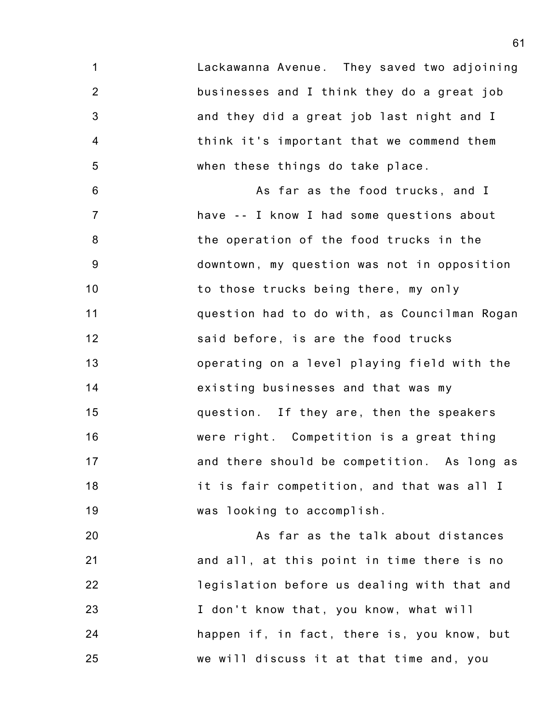1 2 3 4 5 Lackawanna Avenue. They saved two adjoining businesses and I think they do a great job and they did a great job last night and I think it's important that we commend them when these things do take place.

6 7 8 9 10 11 12 13 14 15 16 17 18 19 As far as the food trucks, and I have -- I know I had some questions about the operation of the food trucks in the downtown, my question was not in opposition to those trucks being there, my only question had to do with, as Councilman Rogan said before, is are the food trucks operating on a level playing field with the existing businesses and that was my question. If they are, then the speakers were right. Competition is a great thing and there should be competition. As long as it is fair competition, and that was all I was looking to accomplish.

20 21 22 23 24 25 As far as the talk about distances and all, at this point in time there is no legislation before us dealing with that and I don't know that, you know, what will happen if, in fact, there is, you know, but we will discuss it at that time and, you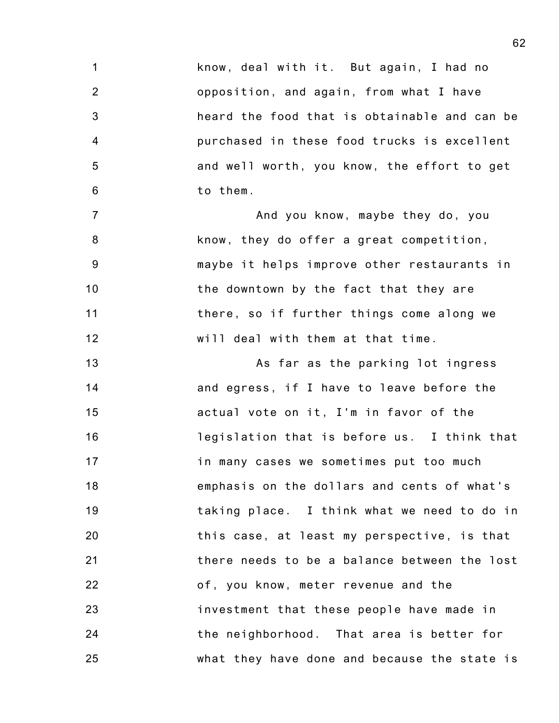1 2 3 4 5 6 know, deal with it. But again, I had no opposition, and again, from what I have heard the food that is obtainable and can be purchased in these food trucks is excellent and well worth, you know, the effort to get to them.

7 8 9 10 11 12 And you know, maybe they do, you know, they do offer a great competition, maybe it helps improve other restaurants in the downtown by the fact that they are there, so if further things come along we will deal with them at that time.

13 14 15 16 17 18 19 20 21 22 23 24 25 As far as the parking lot ingress and egress, if I have to leave before the actual vote on it, I'm in favor of the legislation that is before us. I think that in many cases we sometimes put too much emphasis on the dollars and cents of what's taking place. I think what we need to do in this case, at least my perspective, is that there needs to be a balance between the lost of, you know, meter revenue and the investment that these people have made in the neighborhood. That area is better for what they have done and because the state is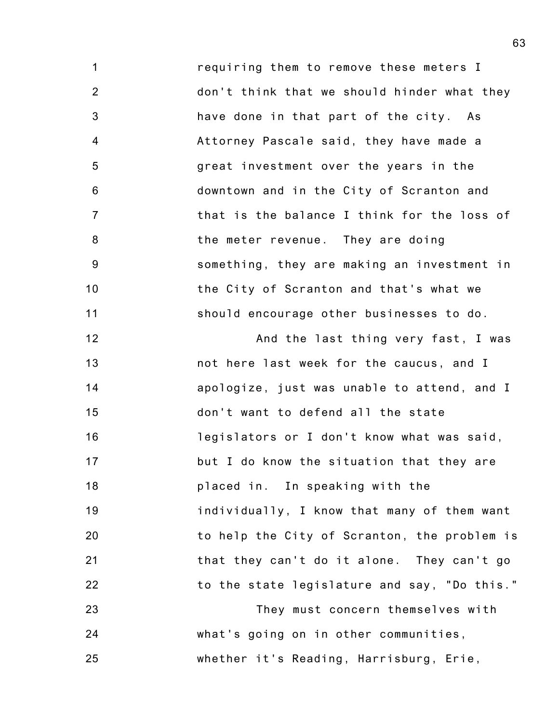1 2 3 4 5 6 7 8 9 10 11 requiring them to remove these meters I don't think that we should hinder what they have done in that part of the city. As Attorney Pascale said, they have made a great investment over the years in the downtown and in the City of Scranton and that is the balance I think for the loss of the meter revenue. They are doing something, they are making an investment in the City of Scranton and that's what we should encourage other businesses to do.

12 13 14 15 16 17 18 19 20 21 22 And the last thing very fast, I was not here last week for the caucus, and I apologize, just was unable to attend, and I don't want to defend all the state legislators or I don't know what was said, but I do know the situation that they are placed in. In speaking with the individually, I know that many of them want to help the City of Scranton, the problem is that they can't do it alone. They can't go to the state legislature and say, "Do this."

23 24 25 They must concern themselves with what's going on in other communities, whether it's Reading, Harrisburg, Erie,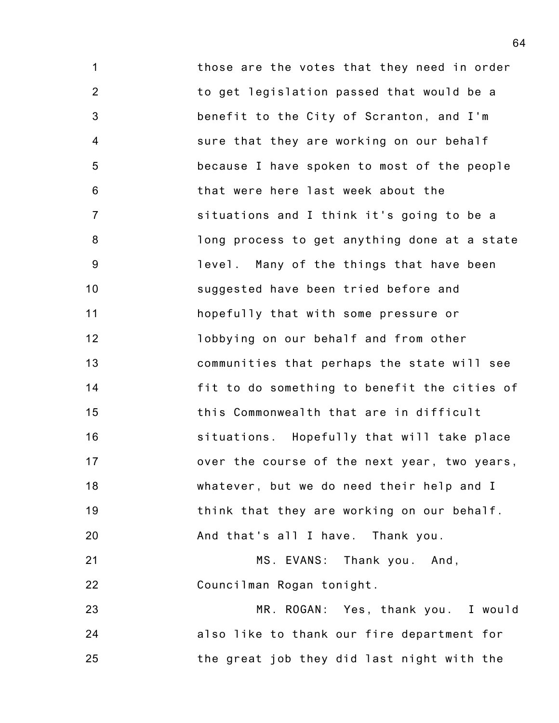1 2 3 4 5 6 7 8 9 10 11 12 13 14 15 16 17 18 19 20 those are the votes that they need in order to get legislation passed that would be a benefit to the City of Scranton, and I'm sure that they are working on our behalf because I have spoken to most of the people that were here last week about the situations and I think it's going to be a long process to get anything done at a state level. Many of the things that have been suggested have been tried before and hopefully that with some pressure or lobbying on our behalf and from other communities that perhaps the state will see fit to do something to benefit the cities of this Commonwealth that are in difficult situations. Hopefully that will take place over the course of the next year, two years, whatever, but we do need their help and I think that they are working on our behalf. And that's all I have. Thank you.

21 22 MS. EVANS: Thank you. And, Councilman Rogan tonight.

23 24 25 MR. ROGAN: Yes, thank you. I would also like to thank our fire department for the great job they did last night with the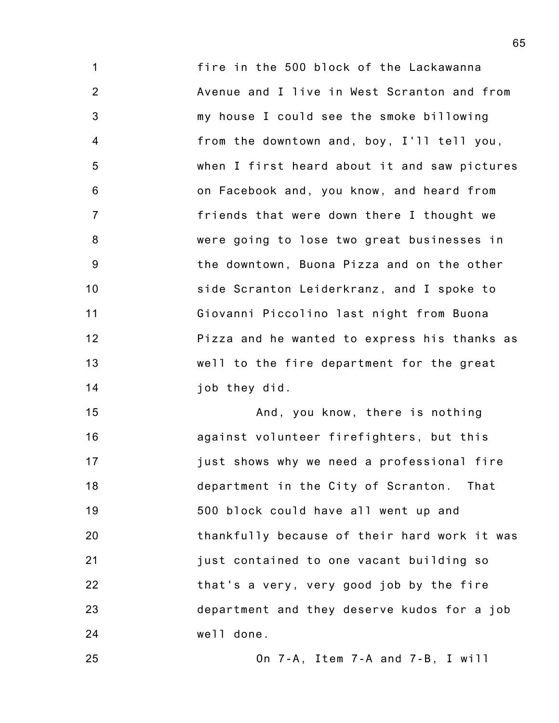1 2 3 4 5 6 7 8 9 10 11 12 13 14 fire in the 500 block of the Lackawanna Avenue and I live in West Scranton and from my house I could see the smoke billowing from the downtown and, boy, I'll tell you, when I first heard about it and saw pictures on Facebook and, you know, and heard from friends that were down there I thought we were going to lose two great businesses in the downtown, Buona Pizza and on the other side Scranton Leiderkranz, and I spoke to Giovanni Piccolino last night from Buona Pizza and he wanted to express his thanks as well to the fire department for the great job they did.

15 16 17 18 19 20 21 22 23 24 And, you know, there is nothing against volunteer firefighters, but this just shows why we need a professional fire department in the City of Scranton. That 500 block could have all went up and thankfully because of their hard work it was just contained to one vacant building so that's a very, very good job by the fire department and they deserve kudos for a job well done.

25

On 7-A, Item 7-A and 7-B, I will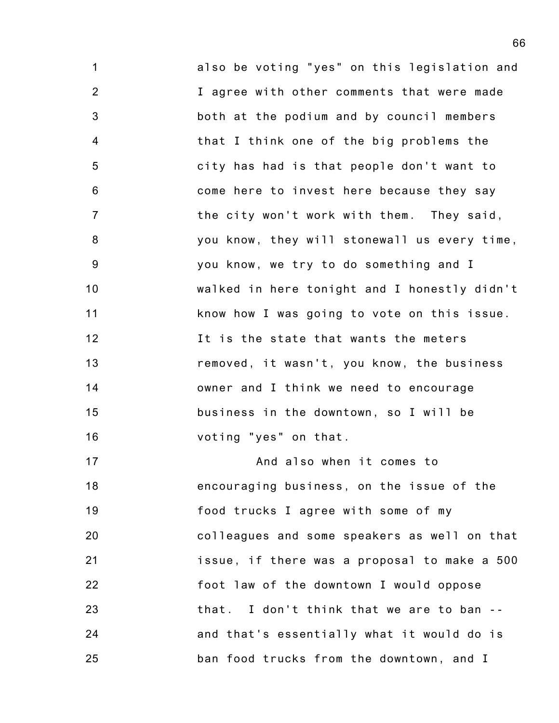1 2 3 4 5 6 7 8 9 10 11 12 13 14 15 16 17 also be voting "yes" on this legislation and I agree with other comments that were made both at the podium and by council members that I think one of the big problems the city has had is that people don't want to come here to invest here because they say the city won't work with them. They said, you know, they will stonewall us every time, you know, we try to do something and I walked in here tonight and I honestly didn't know how I was going to vote on this issue. It is the state that wants the meters removed, it wasn't, you know, the business owner and I think we need to encourage business in the downtown, so I will be voting "yes" on that. And also when it comes to

18 19 20 21 22 23 24 25 encouraging business, on the issue of the food trucks I agree with some of my colleagues and some speakers as well on that issue, if there was a proposal to make a 500 foot law of the downtown I would oppose that. I don't think that we are to ban - and that's essentially what it would do is ban food trucks from the downtown, and I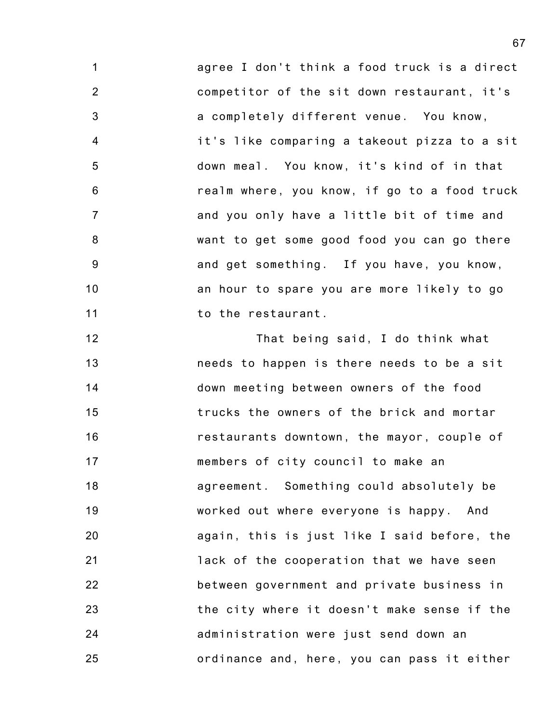1 2 3 4 5 6 7 8 9 10 11 agree I don't think a food truck is a direct competitor of the sit down restaurant, it's a completely different venue. You know, it's like comparing a takeout pizza to a sit down meal. You know, it's kind of in that realm where, you know, if go to a food truck and you only have a little bit of time and want to get some good food you can go there and get something. If you have, you know, an hour to spare you are more likely to go to the restaurant.

12 13 14 15 16 17 18 19 20 21 22 23 24 25 That being said, I do think what needs to happen is there needs to be a sit down meeting between owners of the food trucks the owners of the brick and mortar restaurants downtown, the mayor, couple of members of city council to make an agreement. Something could absolutely be worked out where everyone is happy. And again, this is just like I said before, the lack of the cooperation that we have seen between government and private business in the city where it doesn't make sense if the administration were just send down an ordinance and, here, you can pass it either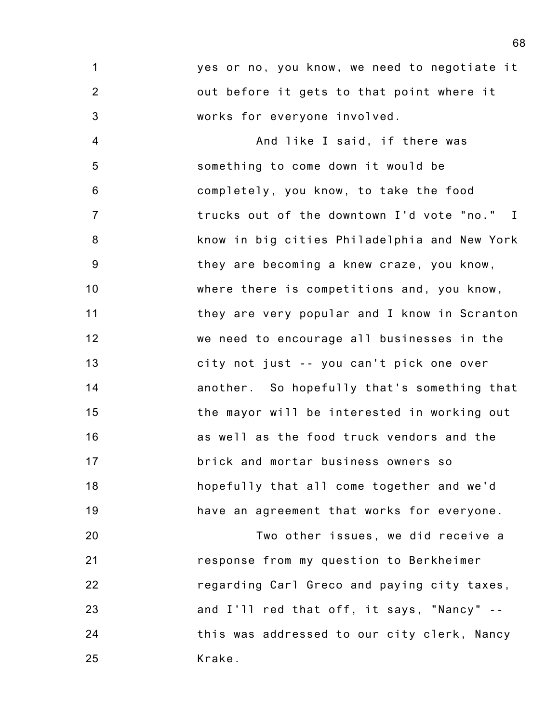1 2 3 yes or no, you know, we need to negotiate it out before it gets to that point where it works for everyone involved.

4 5 6 7 8 9 10 11 12 13 14 15 16 17 18 19 And like I said, if there was something to come down it would be completely, you know, to take the food trucks out of the downtown I'd vote "no." I know in big cities Philadelphia and New York they are becoming a knew craze, you know, where there is competitions and, you know, they are very popular and I know in Scranton we need to encourage all businesses in the city not just -- you can't pick one over another. So hopefully that's something that the mayor will be interested in working out as well as the food truck vendors and the brick and mortar business owners so hopefully that all come together and we'd have an agreement that works for everyone.

20 21 22 23 24 25 Two other issues, we did receive a response from my question to Berkheimer regarding Carl Greco and paying city taxes, and I'll red that off, it says, "Nancy" - this was addressed to our city clerk, Nancy Krake.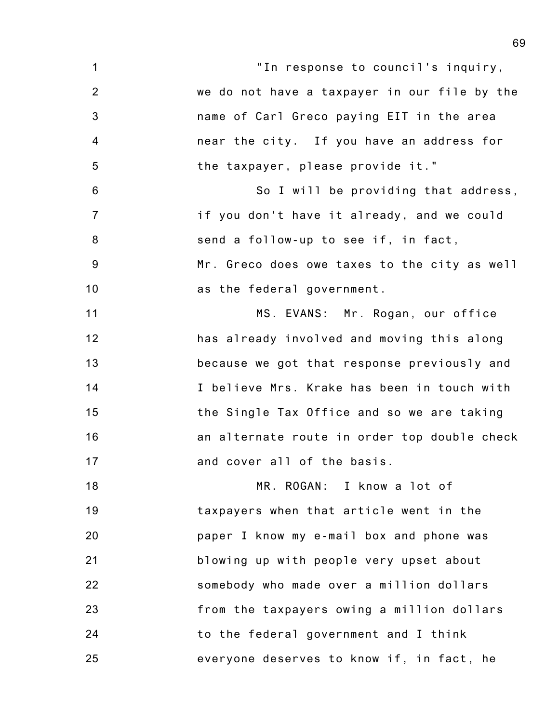- 1 2 3 4 5 6 7 8 9 10 11 12 13 14 15 16 17 18 19 20 21 22 23 "In response to council's inquiry, we do not have a taxpayer in our file by the name of Carl Greco paying EIT in the area near the city. If you have an address for the taxpayer, please provide it." So I will be providing that address, if you don't have it already, and we could send a follow-up to see if, in fact, Mr. Greco does owe taxes to the city as well as the federal government. MS. EVANS: Mr. Rogan, our office has already involved and moving this along because we got that response previously and I believe Mrs. Krake has been in touch with the Single Tax Office and so we are taking an alternate route in order top double check and cover all of the basis. MR. ROGAN: I know a lot of taxpayers when that article went in the paper I know my e-mail box and phone was blowing up with people very upset about somebody who made over a million dollars from the taxpayers owing a million dollars
	- everyone deserves to know if, in fact, he

to the federal government and I think

24

25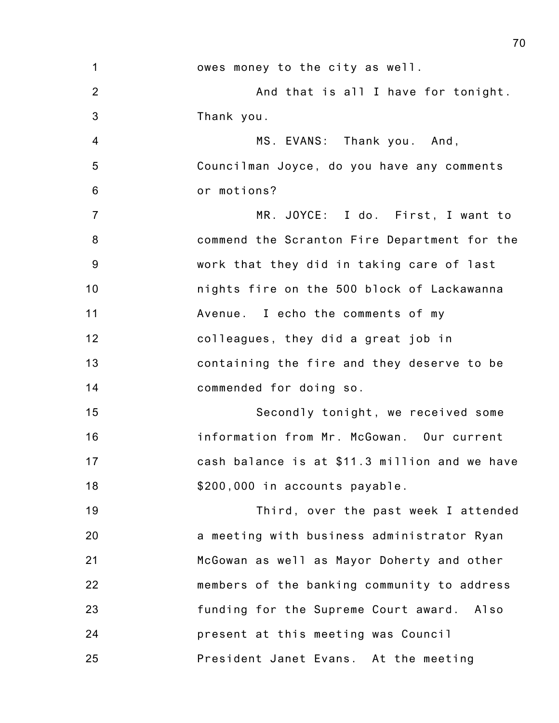| 1              | owes money to the city as well.               |
|----------------|-----------------------------------------------|
| 2              | And that is all I have for tonight.           |
| 3              | Thank you.                                    |
| $\overline{4}$ | MS. EVANS: Thank you. And,                    |
| 5              | Councilman Joyce, do you have any comments    |
| $6\phantom{1}$ | or motions?                                   |
| $\overline{7}$ | MR. JOYCE: I do. First, I want to             |
| 8              | commend the Scranton Fire Department for the  |
| 9              | work that they did in taking care of last     |
| 10             | nights fire on the 500 block of Lackawanna    |
| 11             | Avenue. I echo the comments of my             |
| 12             | colleagues, they did a great job in           |
| 13             | containing the fire and they deserve to be    |
| 14             | commended for doing so.                       |
| 15             | Secondly tonight, we received some            |
| 16             | information from Mr. McGowan. Our current     |
| 17             | cash balance is at \$11.3 million and we have |
| 18             | \$200,000 in accounts payable.                |
| 19             | Third, over the past week I attended          |
| 20             | a meeting with business administrator Ryan    |
| 21             | McGowan as well as Mayor Doherty and other    |
| 22             | members of the banking community to address   |
| 23             | funding for the Supreme Court award. Also     |
| 24             | present at this meeting was Council           |
| 25             | President Janet Evans. At the meeting         |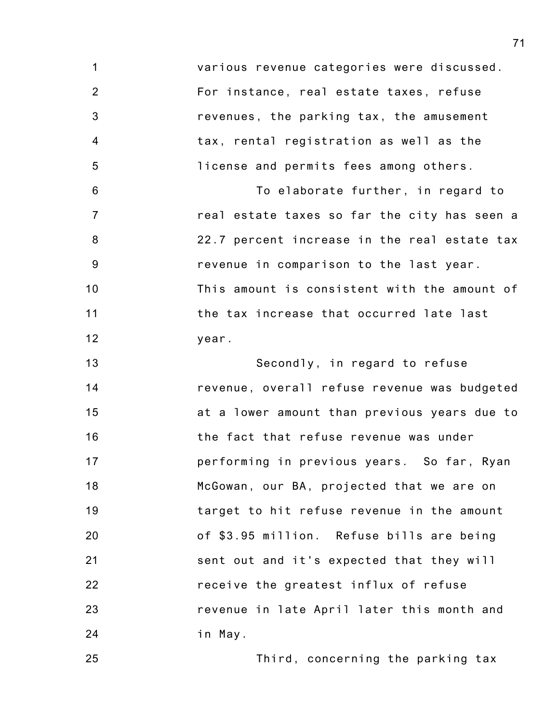1 2 3 4 5 6 7 8 9 10 11 12 13 14 15 16 17 18 19 20 21 22 23 24 various revenue categories were discussed. For instance, real estate taxes, refuse revenues, the parking tax, the amusement tax, rental registration as well as the license and permits fees among others. To elaborate further, in regard to real estate taxes so far the city has seen a 22.7 percent increase in the real estate tax revenue in comparison to the last year. This amount is consistent with the amount of the tax increase that occurred late last year. Secondly, in regard to refuse revenue, overall refuse revenue was budgeted at a lower amount than previous years due to the fact that refuse revenue was under performing in previous years. So far, Ryan McGowan, our BA, projected that we are on target to hit refuse revenue in the amount of \$3.95 million. Refuse bills are being sent out and it's expected that they will receive the greatest influx of refuse revenue in late April later this month and in May.

25

Third, concerning the parking tax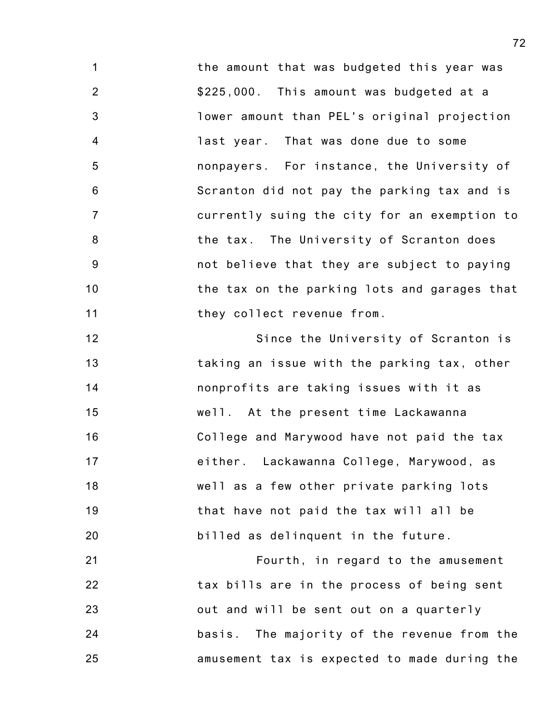1 2 3 4 5 6 7 8 9 10 11 the amount that was budgeted this year was \$225,000. This amount was budgeted at a lower amount than PEL's original projection last year. That was done due to some nonpayers. For instance, the University of Scranton did not pay the parking tax and is currently suing the city for an exemption to the tax. The University of Scranton does not believe that they are subject to paying the tax on the parking lots and garages that they collect revenue from.

12 13 14 15 16 17 18 19 20 Since the University of Scranton is taking an issue with the parking tax, other nonprofits are taking issues with it as well. At the present time Lackawanna College and Marywood have not paid the tax either. Lackawanna College, Marywood, as well as a few other private parking lots that have not paid the tax will all be billed as delinquent in the future.

21 22 23 24 25 Fourth, in regard to the amusement tax bills are in the process of being sent out and will be sent out on a quarterly basis. The majority of the revenue from the amusement tax is expected to made during the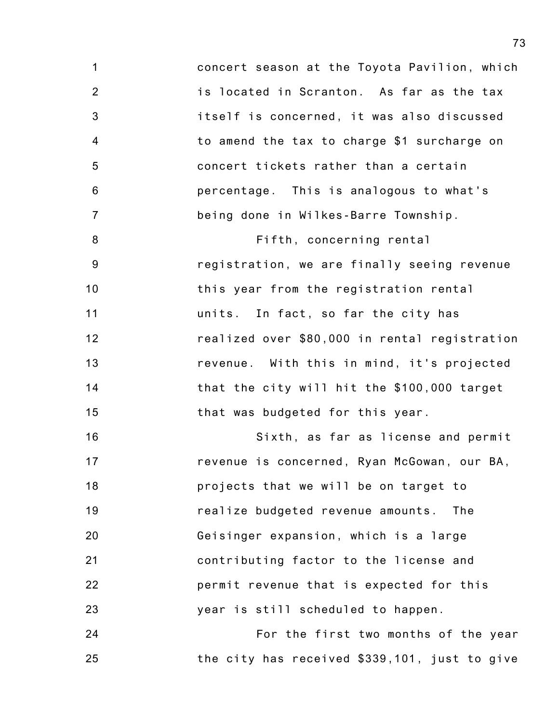1 2 3 4 5 6 7 concert season at the Toyota Pavilion, which is located in Scranton. As far as the tax itself is concerned, it was also discussed to amend the tax to charge \$1 surcharge on concert tickets rather than a certain percentage. This is analogous to what's being done in Wilkes-Barre Township.

8 9 10 11 12 13 14 15 Fifth, concerning rental registration, we are finally seeing revenue this year from the registration rental units. In fact, so far the city has realized over \$80,000 in rental registration revenue. With this in mind, it's projected that the city will hit the \$100,000 target that was budgeted for this year.

16 17 18 19 20 21 22 23 Sixth, as far as license and permit revenue is concerned, Ryan McGowan, our BA, projects that we will be on target to realize budgeted revenue amounts. The Geisinger expansion, which is a large contributing factor to the license and permit revenue that is expected for this year is still scheduled to happen.

24 25 For the first two months of the year the city has received \$339,101, just to give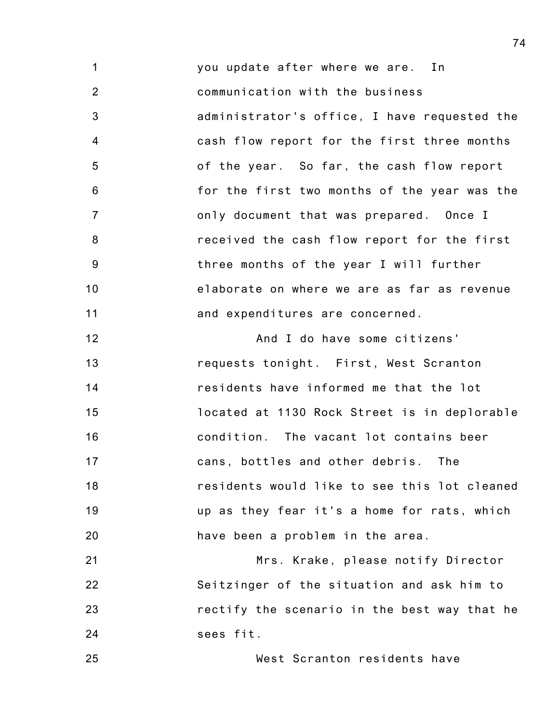1 2 3 4 5 6 7 8 9 10 11 you update after where we are. In communication with the business administrator's office, I have requested the cash flow report for the first three months of the year. So far, the cash flow report for the first two months of the year was the only document that was prepared. Once I received the cash flow report for the first three months of the year I will further elaborate on where we are as far as revenue and expenditures are concerned.

12 13 14 15 16 17 18 19 20 And I do have some citizens' requests tonight. First, West Scranton residents have informed me that the lot located at 1130 Rock Street is in deplorable condition. The vacant lot contains beer cans, bottles and other debris. The residents would like to see this lot cleaned up as they fear it's a home for rats, which have been a problem in the area.

21 22 23 24 Mrs. Krake, please notify Director Seitzinger of the situation and ask him to rectify the scenario in the best way that he sees fit.

25 West Scranton residents have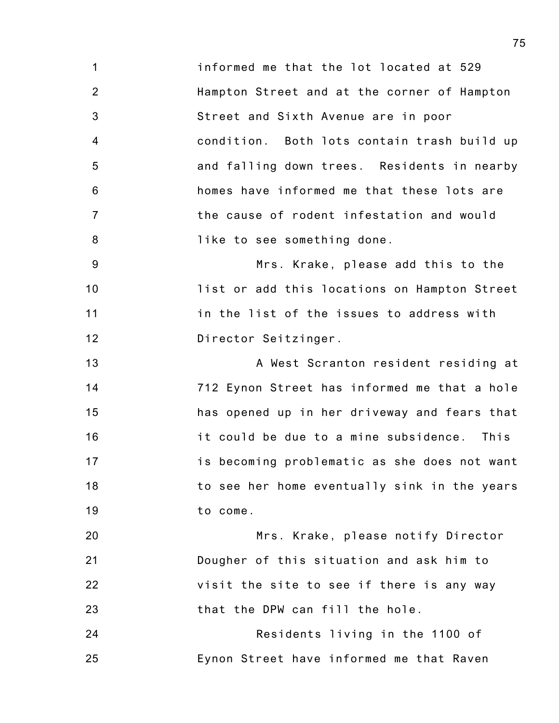1 2 3 4 5 6 7 8 informed me that the lot located at 529 Hampton Street and at the corner of Hampton Street and Sixth Avenue are in poor condition. Both lots contain trash build up and falling down trees. Residents in nearby homes have informed me that these lots are the cause of rodent infestation and would like to see something done.

9 10 11 12 Mrs. Krake, please add this to the list or add this locations on Hampton Street in the list of the issues to address with Director Seitzinger.

13 14 15 16 17 18 19 A West Scranton resident residing at 712 Eynon Street has informed me that a hole has opened up in her driveway and fears that it could be due to a mine subsidence. This is becoming problematic as she does not want to see her home eventually sink in the years to come.

20 21 22 23 Mrs. Krake, please notify Director Dougher of this situation and ask him to visit the site to see if there is any way that the DPW can fill the hole.

24 25 Residents living in the 1100 of Eynon Street have informed me that Raven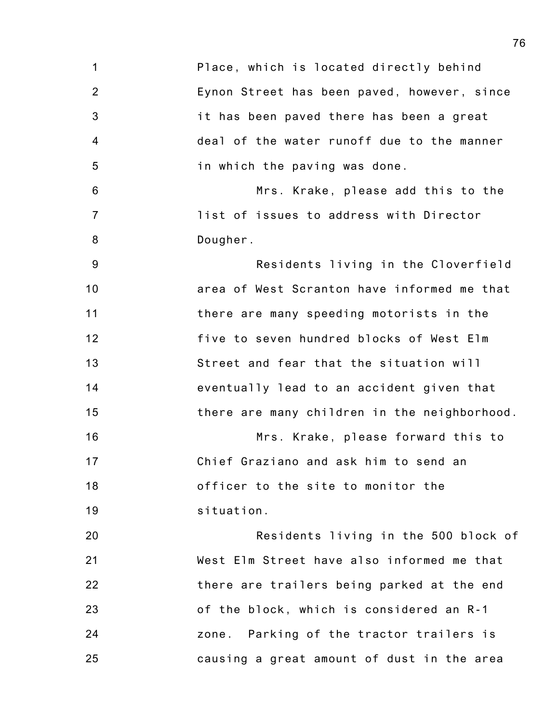1 2 3 4 5 6 7 8 9 10 11 12 13 14 15 16 17 18 19 20 21 22 23 24 25 Place, which is located directly behind Eynon Street has been paved, however, since it has been paved there has been a great deal of the water runoff due to the manner in which the paving was done. Mrs. Krake, please add this to the list of issues to address with Director Dougher. Residents living in the Cloverfield area of West Scranton have informed me that there are many speeding motorists in the five to seven hundred blocks of West Elm Street and fear that the situation will eventually lead to an accident given that there are many children in the neighborhood. Mrs. Krake, please forward this to Chief Graziano and ask him to send an officer to the site to monitor the situation. Residents living in the 500 block of West Elm Street have also informed me that there are trailers being parked at the end of the block, which is considered an R-1 zone. Parking of the tractor trailers is causing a great amount of dust in the area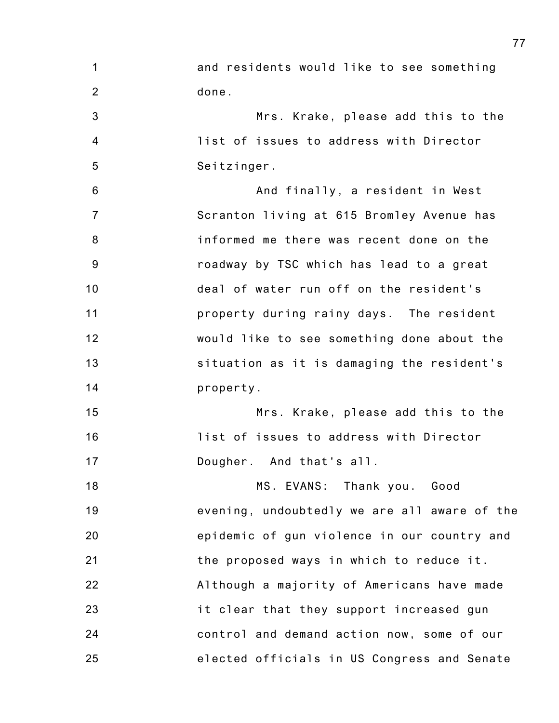1 2 and residents would like to see something done.

3 4 5 Mrs. Krake, please add this to the list of issues to address with Director Seitzinger.

6 7 8 9 10 11 12 13 14 And finally, a resident in West Scranton living at 615 Bromley Avenue has informed me there was recent done on the roadway by TSC which has lead to a great deal of water run off on the resident's property during rainy days. The resident would like to see something done about the situation as it is damaging the resident's property.

15 16 17 Mrs. Krake, please add this to the list of issues to address with Director Dougher. And that's all.

18 19 20 21 22 23 24 25 MS. EVANS: Thank you. Good evening, undoubtedly we are all aware of the epidemic of gun violence in our country and the proposed ways in which to reduce it. Although a majority of Americans have made it clear that they support increased gun control and demand action now, some of our elected officials in US Congress and Senate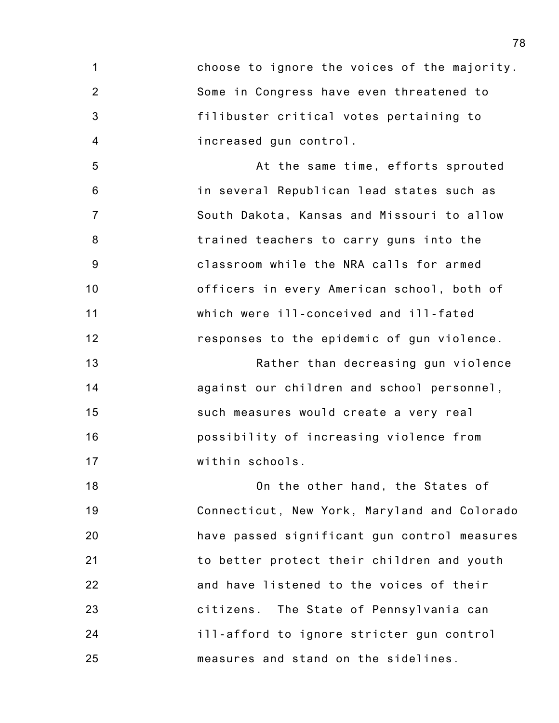1 2 3 4 choose to ignore the voices of the majority. Some in Congress have even threatened to filibuster critical votes pertaining to increased gun control.

5 6 7 8 9 10 11 12 At the same time, efforts sprouted in several Republican lead states such as South Dakota, Kansas and Missouri to allow trained teachers to carry guns into the classroom while the NRA calls for armed officers in every American school, both of which were ill-conceived and ill-fated responses to the epidemic of gun violence.

13 14 15 16 17 Rather than decreasing gun violence against our children and school personnel, such measures would create a very real possibility of increasing violence from within schools.

18 19 20 21 22 23 24 25 On the other hand, the States of Connecticut, New York, Maryland and Colorado have passed significant gun control measures to better protect their children and youth and have listened to the voices of their citizens. The State of Pennsylvania can ill-afford to ignore stricter gun control measures and stand on the sidelines.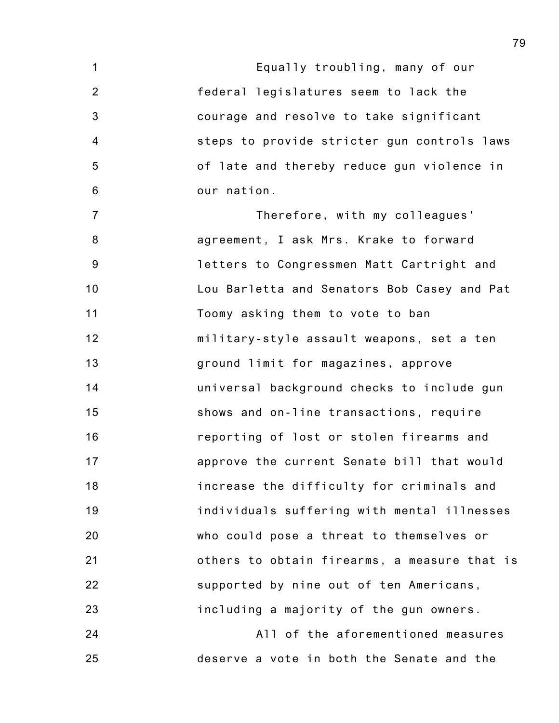1 2 3 4 5 6 7 8 9 10 11 12 13 14 15 16 17 18 19 20 21 22 23 Equally troubling, many of our federal legislatures seem to lack the courage and resolve to take significant steps to provide stricter gun controls laws of late and thereby reduce gun violence in our nation. Therefore, with my colleagues' agreement, I ask Mrs. Krake to forward letters to Congressmen Matt Cartright and Lou Barletta and Senators Bob Casey and Pat Toomy asking them to vote to ban military-style assault weapons, set a ten ground limit for magazines, approve universal background checks to include gun shows and on-line transactions, require reporting of lost or stolen firearms and approve the current Senate bill that would increase the difficulty for criminals and individuals suffering with mental illnesses who could pose a threat to themselves or others to obtain firearms, a measure that is supported by nine out of ten Americans, including a majority of the gun owners.

24 25 All of the aforementioned measures deserve a vote in both the Senate and the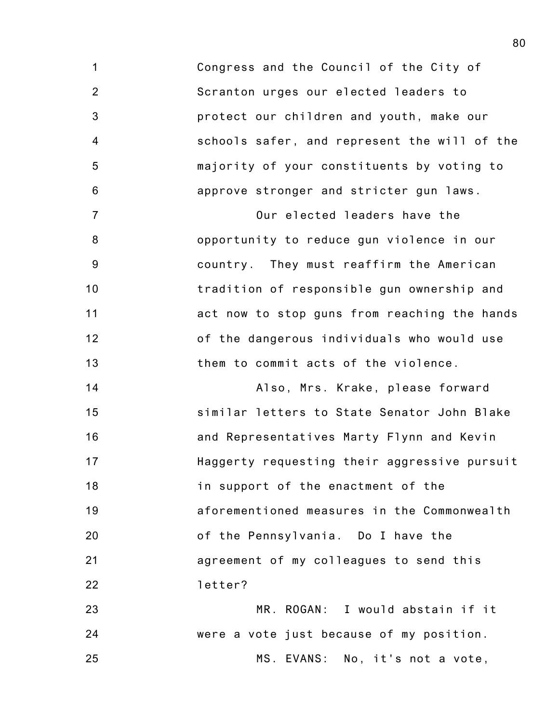1 2 3 4 5 6 Congress and the Council of the City of Scranton urges our elected leaders to protect our children and youth, make our schools safer, and represent the will of the majority of your constituents by voting to approve stronger and stricter gun laws.

7 8 9 10 11 12 13 Our elected leaders have the opportunity to reduce gun violence in our country. They must reaffirm the American tradition of responsible gun ownership and act now to stop guns from reaching the hands of the dangerous individuals who would use them to commit acts of the violence.

14 15 16 17 18 19 20 21 22 Also, Mrs. Krake, please forward similar letters to State Senator John Blake and Representatives Marty Flynn and Kevin Haggerty requesting their aggressive pursuit in support of the enactment of the aforementioned measures in the Commonwealth of the Pennsylvania. Do I have the agreement of my colleagues to send this letter?

23 24 25 MR. ROGAN: I would abstain if it were a vote just because of my position. MS. EVANS: No, it's not a vote,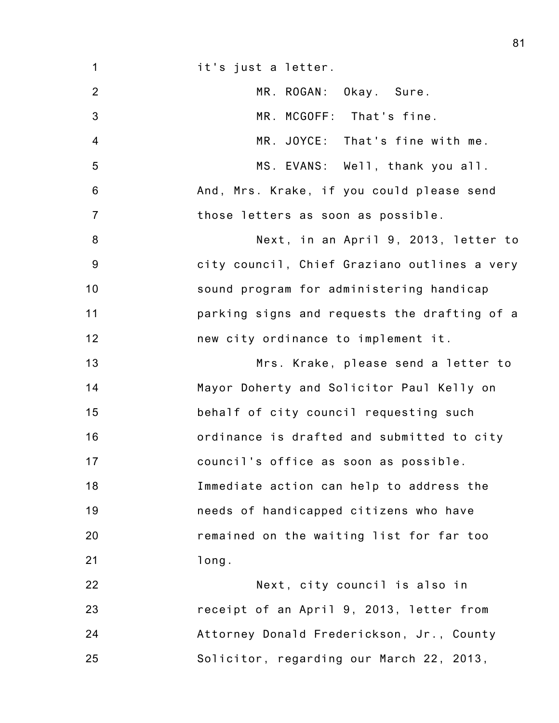1 2 3 4 5 6 7 8 9 10 11 12 13 14 15 16 17 18 19 20 21 22 23 24 25 it's just a letter. MR. ROGAN: Okay. Sure. MR. MCGOFF: That's fine. MR. JOYCE: That's fine with me. MS. EVANS: Well, thank you all. And, Mrs. Krake, if you could please send those letters as soon as possible. Next, in an April 9, 2013, letter to city council, Chief Graziano outlines a very sound program for administering handicap parking signs and requests the drafting of a new city ordinance to implement it. Mrs. Krake, please send a letter to Mayor Doherty and Solicitor Paul Kelly on behalf of city council requesting such ordinance is drafted and submitted to city council's office as soon as possible. Immediate action can help to address the needs of handicapped citizens who have remained on the waiting list for far too long. Next, city council is also in receipt of an April 9, 2013, letter from Attorney Donald Frederickson, Jr., County Solicitor, regarding our March 22, 2013,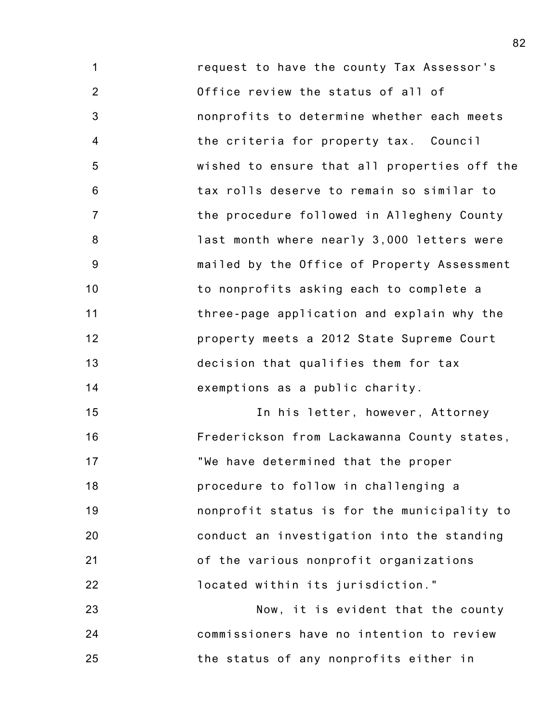1 2 3 4 5 6 7 8 9 10 11 12 13 14 request to have the county Tax Assessor's Office review the status of all of nonprofits to determine whether each meets the criteria for property tax. Council wished to ensure that all properties off the tax rolls deserve to remain so similar to the procedure followed in Allegheny County last month where nearly 3,000 letters were mailed by the Office of Property Assessment to nonprofits asking each to complete a three-page application and explain why the property meets a 2012 State Supreme Court decision that qualifies them for tax exemptions as a public charity.

15 16 17 18 19 20 21 22 In his letter, however, Attorney Frederickson from Lackawanna County states, "We have determined that the proper procedure to follow in challenging a nonprofit status is for the municipality to conduct an investigation into the standing of the various nonprofit organizations located within its jurisdiction."

23 24 25 Now, it is evident that the county commissioners have no intention to review the status of any nonprofits either in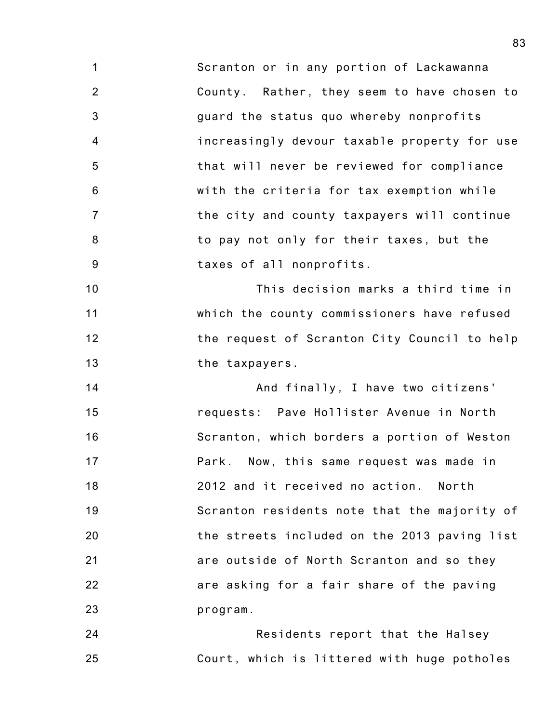1 2 3 4 5 6 7 8 9 Scranton or in any portion of Lackawanna County. Rather, they seem to have chosen to guard the status quo whereby nonprofits increasingly devour taxable property for use that will never be reviewed for compliance with the criteria for tax exemption while the city and county taxpayers will continue to pay not only for their taxes, but the taxes of all nonprofits.

10 11 12 13 This decision marks a third time in which the county commissioners have refused the request of Scranton City Council to help the taxpayers.

14 15 16 17 18 19 20 21 22 23 And finally, I have two citizens' requests: Pave Hollister Avenue in North Scranton, which borders a portion of Weston Park. Now, this same request was made in 2012 and it received no action. North Scranton residents note that the majority of the streets included on the 2013 paving list are outside of North Scranton and so they are asking for a fair share of the paving program.

24 25 Residents report that the Halsey Court, which is littered with huge potholes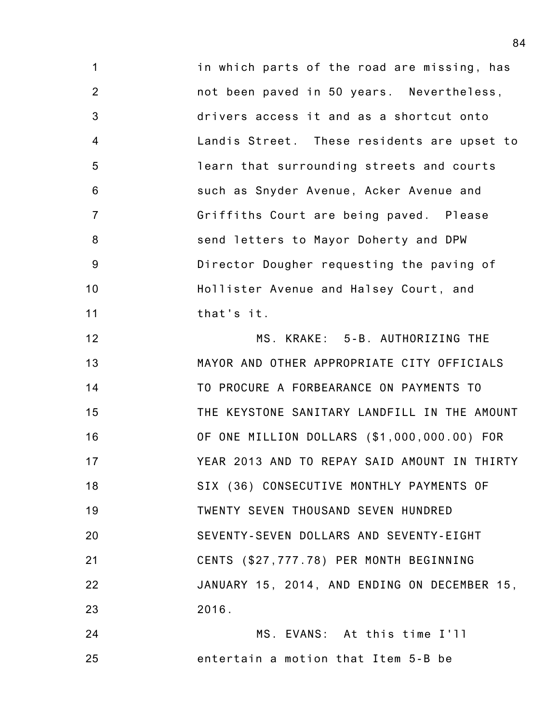1 2 3 4 5 6 7 8 9 10 11 in which parts of the road are missing, has not been paved in 50 years. Nevertheless, drivers access it and as a shortcut onto Landis Street. These residents are upset to learn that surrounding streets and courts such as Snyder Avenue, Acker Avenue and Griffiths Court are being paved. Please send letters to Mayor Doherty and DPW Director Dougher requesting the paving of Hollister Avenue and Halsey Court, and that's it.

12 13 14 15 16 17 18 19 20 21 22 23 MS. KRAKE: 5-B. AUTHORIZING THE MAYOR AND OTHER APPROPRIATE CITY OFFICIALS TO PROCURE A FORBEARANCE ON PAYMENTS TO THE KEYSTONE SANITARY LANDFILL IN THE AMOUNT OF ONE MILLION DOLLARS (\$1,000,000.00) FOR YEAR 2013 AND TO REPAY SAID AMOUNT IN THIRTY SIX (36) CONSECUTIVE MONTHLY PAYMENTS OF TWENTY SEVEN THOUSAND SEVEN HUNDRED SEVENTY-SEVEN DOLLARS AND SEVENTY-EIGHT CENTS (\$27,777.78) PER MONTH BEGINNING JANUARY 15, 2014, AND ENDING ON DECEMBER 15, 2016.

24 25 MS. EVANS: At this time I'll entertain a motion that Item 5-B be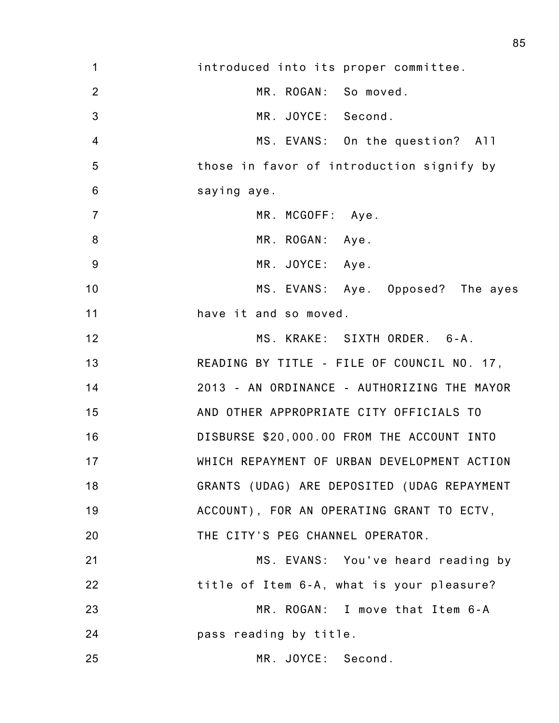| 1               | introduced into its proper committee.       |
|-----------------|---------------------------------------------|
| $\overline{2}$  | MR. ROGAN: So moved.                        |
| 3               | MR. JOYCE: Second.                          |
| 4               | MS. EVANS: On the question? All             |
| 5               | those in favor of introduction signify by   |
| $6\phantom{1}6$ | saying aye.                                 |
| $\overline{7}$  | MR. MCGOFF: Aye.                            |
| 8               | MR. ROGAN: Aye.                             |
| 9               | MR. JOYCE: Aye.                             |
| 10              | MS. EVANS: Aye. Opposed? The ayes           |
| 11              | have it and so moved.                       |
| 12              | MS. KRAKE: SIXTH ORDER. 6-A.                |
| 13              | READING BY TITLE - FILE OF COUNCIL NO. 17,  |
| 14              | 2013 - AN ORDINANCE - AUTHORIZING THE MAYOR |
| 15              | AND OTHER APPROPRIATE CITY OFFICIALS TO     |
| 16              | DISBURSE \$20,000.00 FROM THE ACCOUNT INTO  |
| 17              | WHICH REPAYMENT OF URBAN DEVELOPMENT ACTION |
| 18              | GRANTS (UDAG) ARE DEPOSITED (UDAG REPAYMENT |
| 19              | ACCOUNT), FOR AN OPERATING GRANT TO ECTV,   |
| 20              | THE CITY'S PEG CHANNEL OPERATOR.            |
| 21              | MS. EVANS: You've heard reading by          |
| 22              | title of Item 6-A, what is your pleasure?   |
| 23              | MR. ROGAN: I move that Item 6-A             |
| 24              | pass reading by title.                      |
| 25              | MR. JOYCE: Second.                          |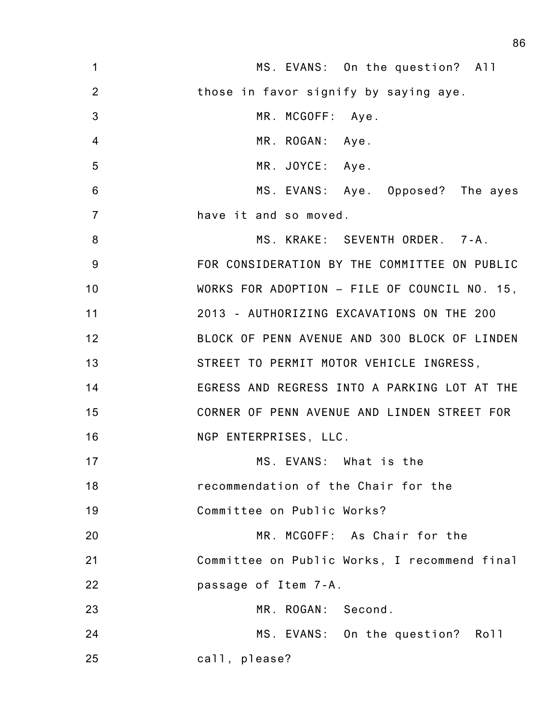| $\mathbf 1$     | MS. EVANS: On the question? All              |
|-----------------|----------------------------------------------|
| $\overline{2}$  | those in favor signify by saying aye.        |
| 3               | MR. MCGOFF: Aye.                             |
| $\overline{4}$  | MR. ROGAN: Aye.                              |
| 5               | MR. JOYCE: Aye.                              |
| $6\phantom{1}6$ | MS. EVANS: Aye. Opposed? The ayes            |
| $\overline{7}$  | have it and so moved.                        |
| 8               | MS. KRAKE: SEVENTH ORDER. 7-A.               |
| 9               | FOR CONSIDERATION BY THE COMMITTEE ON PUBLIC |
| 10              | WORKS FOR ADOPTION - FILE OF COUNCIL NO. 15, |
| 11              | 2013 - AUTHORIZING EXCAVATIONS ON THE 200    |
| 12              | BLOCK OF PENN AVENUE AND 300 BLOCK OF LINDEN |
| 13              | STREET TO PERMIT MOTOR VEHICLE INGRESS,      |
| 14              | EGRESS AND REGRESS INTO A PARKING LOT AT THE |
| 15              | CORNER OF PENN AVENUE AND LINDEN STREET FOR  |
| 16              | NGP ENTERPRISES, LLC.                        |
| 17              | MS. EVANS: What is the                       |
| 18              | recommendation of the Chair for the          |
| 19              | Committee on Public Works?                   |
| 20              | MR. MCGOFF: As Chair for the                 |
| 21              | Committee on Public Works, I recommend final |
| 22              | passage of Item 7-A.                         |
| 23              | MR. ROGAN: Second.                           |
| 24              | MS. EVANS: On the question? Roll             |
| 25              | call, please?                                |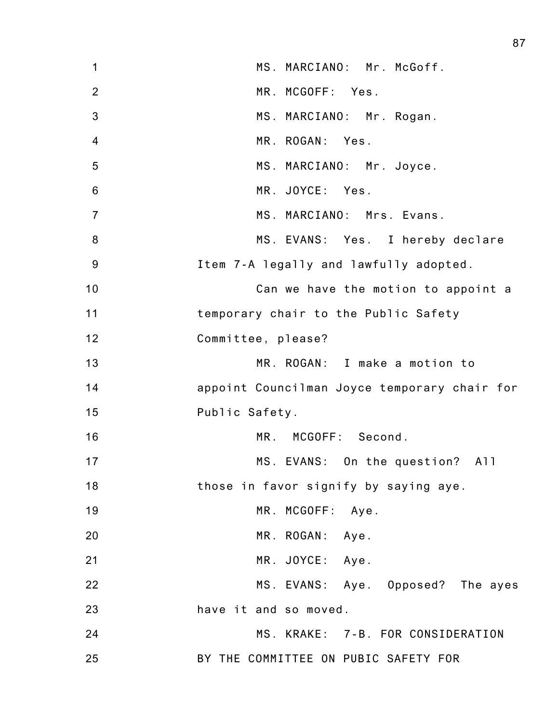| $\mathbf 1$    | MS. MARCIANO: Mr. McGoff.                    |
|----------------|----------------------------------------------|
| $\overline{2}$ | MR. MCGOFF: Yes.                             |
| 3              | MS. MARCIANO: Mr. Rogan.                     |
| $\overline{4}$ | MR. ROGAN: Yes.                              |
| 5              | MS. MARCIANO: Mr. Joyce.                     |
| $6\,$          | MR. JOYCE: Yes.                              |
| $\overline{7}$ | MS. MARCIANO: Mrs. Evans.                    |
| 8              | MS. EVANS: Yes. I hereby declare             |
| $9\,$          | Item 7-A legally and lawfully adopted.       |
| 10             | Can we have the motion to appoint a          |
| 11             | temporary chair to the Public Safety         |
| 12             | Committee, please?                           |
| 13             | MR. ROGAN: I make a motion to                |
| 14             | appoint Councilman Joyce temporary chair for |
| 15             | Public Safety.                               |
| 16             | MR. MCGOFF: Second.                          |
| 17             | MS. EVANS: On the question? All              |
| 18             | those in favor signify by saying aye.        |
| 19             | MR. MCGOFF: Aye.                             |
| 20             | MR. ROGAN: Aye.                              |
| 21             | MR. JOYCE: Aye.                              |
| 22             | MS. EVANS: Aye. Opposed? The ayes            |
| 23             | have it and so moved.                        |
| 24             | MS. KRAKE: 7-B. FOR CONSIDERATION            |
| 25             | BY THE COMMITTEE ON PUBIC SAFETY FOR         |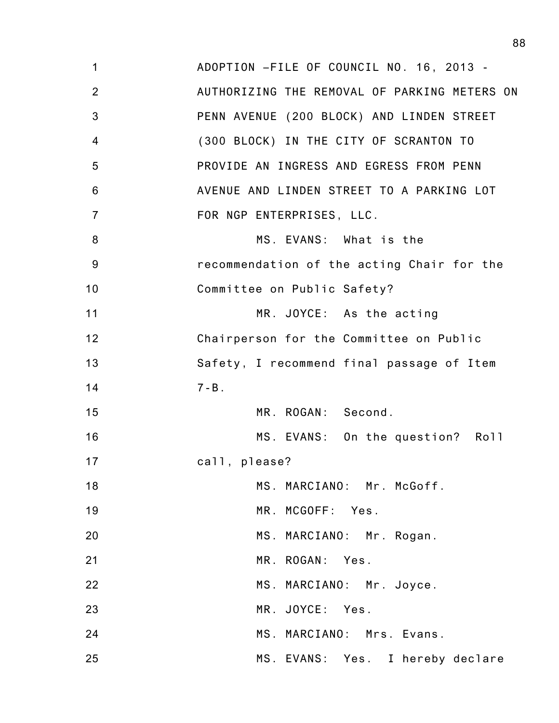1 2 3 4 5 6 7 8 9 10 11 12 13 14 15 16 17 18 19 20 21 22 23 24 25 ADOPTION –FILE OF COUNCIL NO. 16, 2013 - AUTHORIZING THE REMOVAL OF PARKING METERS ON PENN AVENUE (200 BLOCK) AND LINDEN STREET (300 BLOCK) IN THE CITY OF SCRANTON TO PROVIDE AN INGRESS AND EGRESS FROM PENN AVENUE AND LINDEN STREET TO A PARKING LOT FOR NGP ENTERPRISES, LLC. MS. EVANS: What is the recommendation of the acting Chair for the Committee on Public Safety? MR. JOYCE: As the acting Chairperson for the Committee on Public Safety, I recommend final passage of Item  $7 - B$ . MR. ROGAN: Second. MS. EVANS: On the question? Roll call, please? MS. MARCIANO: Mr. McGoff. MR. MCGOFF: Yes. MS. MARCIANO: Mr. Rogan. MR. ROGAN: Yes. MS. MARCIANO: Mr. Joyce. MR. JOYCE: Yes. MS. MARCIANO: Mrs. Evans. MS. EVANS: Yes. I hereby declare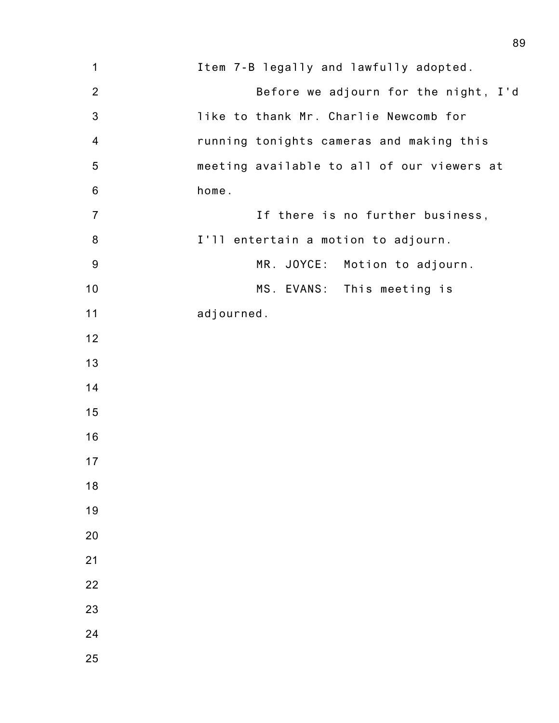| 1              | Item 7-B legally and lawfully adopted.     |
|----------------|--------------------------------------------|
| $\overline{2}$ | Before we adjourn for the night, I'd       |
| $\mathbf{3}$   | like to thank Mr. Charlie Newcomb for      |
| 4              | running tonights cameras and making this   |
| 5              | meeting available to all of our viewers at |
| $6\,$          | home.                                      |
| $\overline{7}$ | If there is no further business,           |
| 8              | I'll entertain a motion to adjourn.        |
| $9\,$          | MR. JOYCE:<br>Motion to adjourn.           |
| 10             | MS. EVANS: This meeting is                 |
| 11             | adjourned.                                 |
| 12             |                                            |
| 13             |                                            |
| 14             |                                            |
| 15             |                                            |
| 16             |                                            |
| 17             |                                            |
| 18             |                                            |
| 19             |                                            |
| 20             |                                            |
| 21             |                                            |
| 22             |                                            |
| 23             |                                            |
| 24             |                                            |
| 25             |                                            |